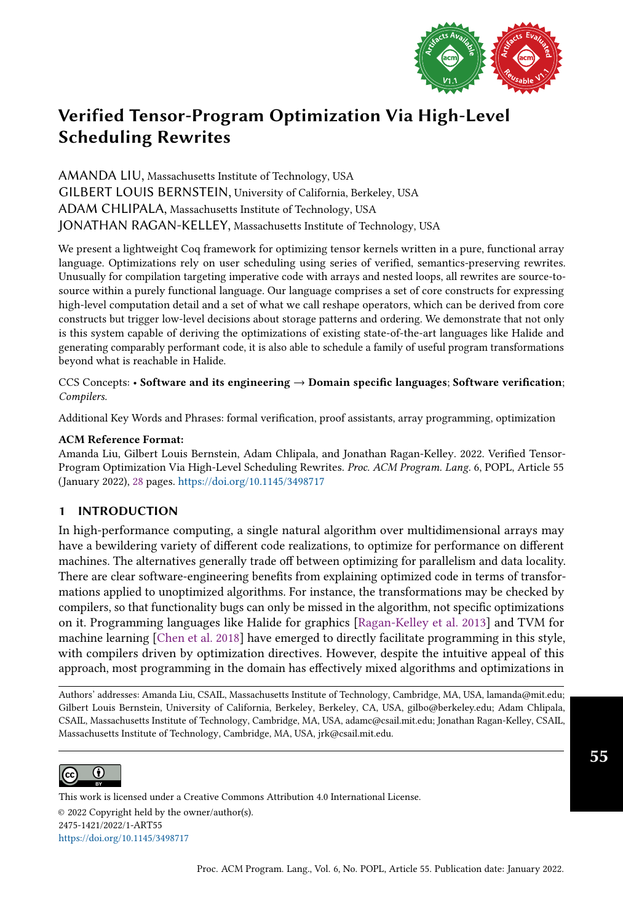

AMANDA LIU, Massachusetts Institute of Technology, USA GILBERT LOUIS BERNSTEIN, University of California, Berkeley, USA ADAM CHLIPALA, Massachusetts Institute of Technology, USA JONATHAN RAGAN-KELLEY, Massachusetts Institute of Technology, USA

We present a lightweight Coq framework for optimizing tensor kernels written in a pure, functional array language. Optimizations rely on user scheduling using series of verified, semantics-preserving rewrites. Unusually for compilation targeting imperative code with arrays and nested loops, all rewrites are source-tosource within a purely functional language. Our language comprises a set of core constructs for expressing high-level computation detail and a set of what we call reshape operators, which can be derived from core constructs but trigger low-level decisions about storage patterns and ordering. We demonstrate that not only is this system capable of deriving the optimizations of existing state-of-the-art languages like Halide and generating comparably performant code, it is also able to schedule a family of useful program transformations beyond what is reachable in Halide.

CCS Concepts: • Software and its engineering → Domain specific languages; Software verification; Compilers.

Additional Key Words and Phrases: formal verification, proof assistants, array programming, optimization

## ACM Reference Format:

Amanda Liu, Gilbert Louis Bernstein, Adam Chlipala, and Jonathan Ragan-Kelley. 2022. Verified Tensor-Program Optimization Via High-Level Scheduling Rewrites. Proc. ACM Program. Lang. 6, POPL, Article 55 (January 2022), [28](#page-27-0) pages. <https://doi.org/10.1145/3498717>

## 1 INTRODUCTION

In high-performance computing, a single natural algorithm over multidimensional arrays may have a bewildering variety of different code realizations, to optimize for performance on different machines. The alternatives generally trade off between optimizing for parallelism and data locality. There are clear software-engineering benefits from explaining optimized code in terms of transformations applied to unoptimized algorithms. For instance, the transformations may be checked by compilers, so that functionality bugs can only be missed in the algorithm, not specific optimizations on it. Programming languages like Halide for graphics [\[Ragan-Kelley et al.](#page-27-1) [2013\]](#page-27-1) and TVM for machine learning [\[Chen et al.](#page-26-0) [2018\]](#page-26-0) have emerged to directly facilitate programming in this style, with compilers driven by optimization directives. However, despite the intuitive appeal of this approach, most programming in the domain has effectively mixed algorithms and optimizations in

Authors' addresses: Amanda Liu, CSAIL, Massachusetts Institute of Technology, Cambridge, MA, USA, lamanda@mit.edu; Gilbert Louis Bernstein, University of California, Berkeley, Berkeley, CA, USA, gilbo@berkeley.edu; Adam Chlipala, CSAIL, Massachusetts Institute of Technology, Cambridge, MA, USA, adamc@csail.mit.edu; Jonathan Ragan-Kelley, CSAIL, Massachusetts Institute of Technology, Cambridge, MA, USA, jrk@csail.mit.edu.



© 2022 Copyright held by the owner/author(s). 2475-1421/2022/1-ART55 <https://doi.org/10.1145/3498717> [This work is licensed under a Creative Commons Attribution 4.0 International License.](http://creativecommons.org/licenses/by/4.0/)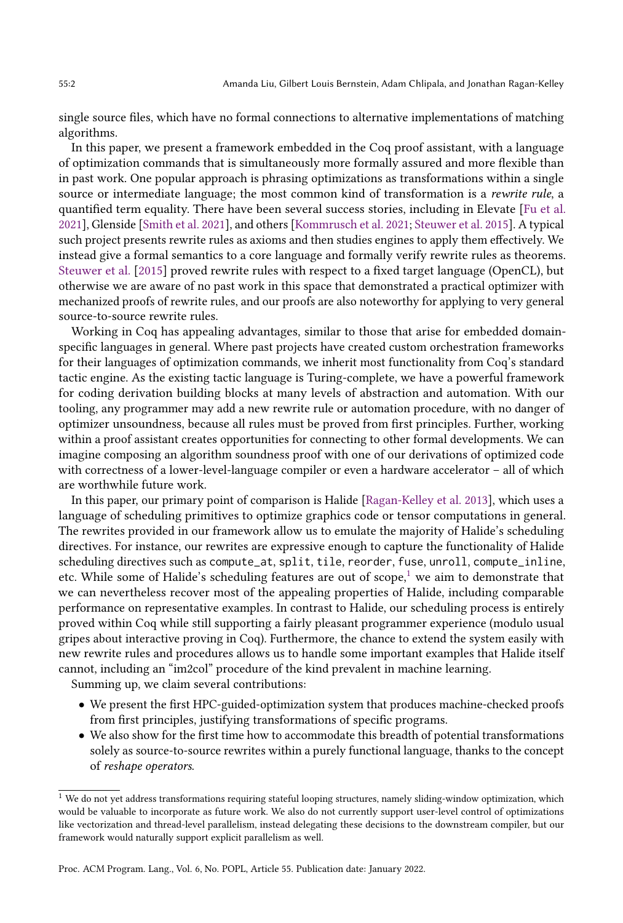single source files, which have no formal connections to alternative implementations of matching algorithms.

In this paper, we present a framework embedded in the Coq proof assistant, with a language of optimization commands that is simultaneously more formally assured and more flexible than in past work. One popular approach is phrasing optimizations as transformations within a single source or intermediate language; the most common kind of transformation is a rewrite rule, a quantified term equality. There have been several success stories, including in Elevate [\[Fu et al.](#page-26-1) [2021\]](#page-26-1), Glenside [\[Smith et al.](#page-27-2) [2021\]](#page-27-2), and others [\[Kommrusch et al.](#page-26-2) [2021;](#page-26-2) [Steuwer et al.](#page-27-3) [2015\]](#page-27-3). A typical such project presents rewrite rules as axioms and then studies engines to apply them effectively. We instead give a formal semantics to a core language and formally verify rewrite rules as theorems. [Steuwer et al.](#page-27-3) [\[2015\]](#page-27-3) proved rewrite rules with respect to a fixed target language (OpenCL), but otherwise we are aware of no past work in this space that demonstrated a practical optimizer with mechanized proofs of rewrite rules, and our proofs are also noteworthy for applying to very general source-to-source rewrite rules.

Working in Coq has appealing advantages, similar to those that arise for embedded domainspecific languages in general. Where past projects have created custom orchestration frameworks for their languages of optimization commands, we inherit most functionality from Coq's standard tactic engine. As the existing tactic language is Turing-complete, we have a powerful framework for coding derivation building blocks at many levels of abstraction and automation. With our tooling, any programmer may add a new rewrite rule or automation procedure, with no danger of optimizer unsoundness, because all rules must be proved from first principles. Further, working within a proof assistant creates opportunities for connecting to other formal developments. We can imagine composing an algorithm soundness proof with one of our derivations of optimized code with correctness of a lower-level-language compiler or even a hardware accelerator - all of which are worthwhile future work.

In this paper, our primary point of comparison is Halide [\[Ragan-Kelley et al.](#page-27-1) [2013\]](#page-27-1), which uses a language of scheduling primitives to optimize graphics code or tensor computations in general. The rewrites provided in our framework allow us to emulate the majority of Halide's scheduling directives. For instance, our rewrites are expressive enough to capture the functionality of Halide scheduling directives such as compute\_at, split, tile, reorder, fuse, unroll, compute\_inline, etc. While some of Halide's scheduling features are out of scope, $<sup>1</sup>$  $<sup>1</sup>$  $<sup>1</sup>$  we aim to demonstrate that</sup> we can nevertheless recover most of the appealing properties of Halide, including comparable performance on representative examples. In contrast to Halide, our scheduling process is entirely proved within Coq while still supporting a fairly pleasant programmer experience (modulo usual gripes about interactive proving in Coq). Furthermore, the chance to extend the system easily with new rewrite rules and procedures allows us to handle some important examples that Halide itself cannot, including an "im2col" procedure of the kind prevalent in machine learning.

Summing up, we claim several contributions:

- We present the first HPC-guided-optimization system that produces machine-checked proofs from first principles, justifying transformations of specific programs.
- We also show for the first time how to accommodate this breadth of potential transformations solely as source-to-source rewrites within a purely functional language, thanks to the concept of reshape operators.

<span id="page-1-0"></span> $1$  We do not yet address transformations requiring stateful looping structures, namely sliding-window optimization, which would be valuable to incorporate as future work. We also do not currently support user-level control of optimizations like vectorization and thread-level parallelism, instead delegating these decisions to the downstream compiler, but our framework would naturally support explicit parallelism as well.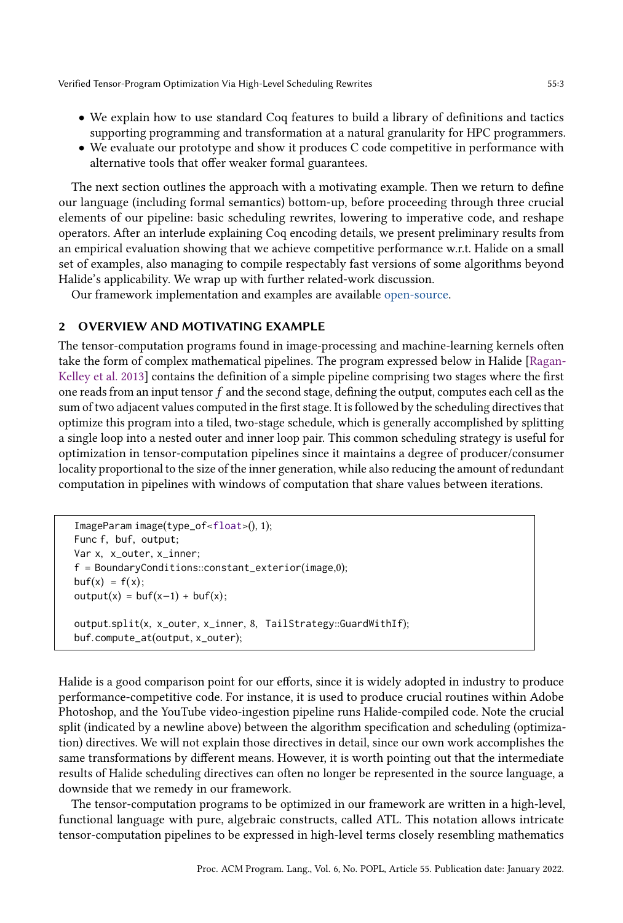- We explain how to use standard Coq features to build a library of definitions and tactics supporting programming and transformation at a natural granularity for HPC programmers.
- We evaluate our prototype and show it produces C code competitive in performance with alternative tools that offer weaker formal guarantees.

The next section outlines the approach with a motivating example. Then we return to define our language (including formal semantics) bottom-up, before proceeding through three crucial elements of our pipeline: basic scheduling rewrites, lowering to imperative code, and reshape operators. After an interlude explaining Coq encoding details, we present preliminary results from an empirical evaluation showing that we achieve competitive performance w.r.t. Halide on a small set of examples, also managing to compile respectably fast versions of some algorithms beyond Halide's applicability. We wrap up with further related-work discussion.

Our framework implementation and examples are available [open-source.](https://github.com/ChezJrk/verified-scheduling)

## 2 OVERVIEW AND MOTIVATING EXAMPLE

The tensor-computation programs found in image-processing and machine-learning kernels often take the form of complex mathematical pipelines. The program expressed below in Halide [\[Ragan-](#page-27-1)[Kelley et al.](#page-27-1) [2013\]](#page-27-1) contains the definition of a simple pipeline comprising two stages where the first one reads from an input tensor  $f$  and the second stage, defining the output, computes each cell as the sum of two adjacent values computed in the first stage. It is followed by the scheduling directives that optimize this program into a tiled, two-stage schedule, which is generally accomplished by splitting a single loop into a nested outer and inner loop pair. This common scheduling strategy is useful for optimization in tensor-computation pipelines since it maintains a degree of producer/consumer locality proportional to the size of the inner generation, while also reducing the amount of redundant computation in pipelines with windows of computation that share values between iterations.

```
ImageParam image(type_of<float>(), 1);
Func f, buf, output;
Var x, x_outer, x_inner;
f = BoundaryConditions::constant\_exterior(image, 0);buf(x) = f(x);output(x) = butf(x-1) + butf(x);output.split(x, x_outer, x_inner, 8, TailStrategy::GuardWithIf);
buf.compute_at(output, x_outer);
```
Halide is a good comparison point for our efforts, since it is widely adopted in industry to produce performance-competitive code. For instance, it is used to produce crucial routines within Adobe Photoshop, and the YouTube video-ingestion pipeline runs Halide-compiled code. Note the crucial split (indicated by a newline above) between the algorithm specification and scheduling (optimization) directives. We will not explain those directives in detail, since our own work accomplishes the same transformations by different means. However, it is worth pointing out that the intermediate results of Halide scheduling directives can often no longer be represented in the source language, a downside that we remedy in our framework.

The tensor-computation programs to be optimized in our framework are written in a high-level, functional language with pure, algebraic constructs, called ATL. This notation allows intricate tensor-computation pipelines to be expressed in high-level terms closely resembling mathematics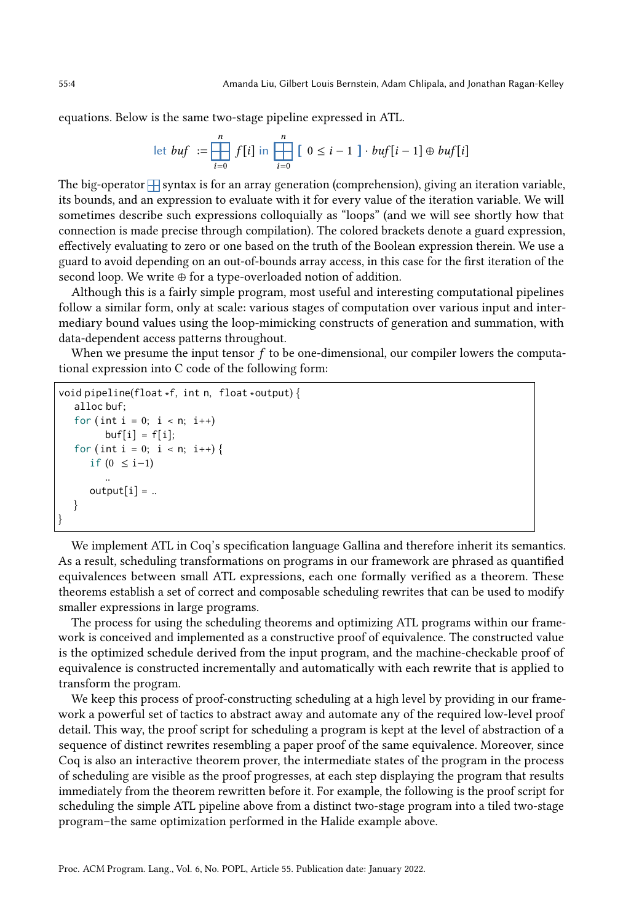equations. Below is the same two-stage pipeline expressed in ATL.

let 
$$
buf := \prod_{i=0}^n f[i]
$$
 in  $\prod_{i=0}^n [0 \leq i-1] \cdot buf[i-1] \oplus buf[i]$ 

The big-operator  $\Box$  syntax is for an array generation (comprehension), giving an iteration variable, its bounds, and an expression to evaluate with it for every value of the iteration variable. We will sometimes describe such expressions colloquially as "loops" (and we will see shortly how that connection is made precise through compilation). The colored brackets denote a guard expression, effectively evaluating to zero or one based on the truth of the Boolean expression therein. We use a guard to avoid depending on an out-of-bounds array access, in this case for the first iteration of the second loop. We write  $\oplus$  for a type-overloaded notion of addition.

Although this is a fairly simple program, most useful and interesting computational pipelines follow a similar form, only at scale: various stages of computation over various input and intermediary bound values using the loop-mimicking constructs of generation and summation, with data-dependent access patterns throughout.

When we presume the input tensor  $f$  to be one-dimensional, our compiler lowers the computational expression into C code of the following form:

```
void pipeline(float ∗f, int n, float ∗output) {
   alloc buf;
   for (int i = 0; i < n; i++)buf[i] = f[i];for (int i = 0; i < n; i++) {
      if (0 \leq i-1)..
      output[i] = .}
}
```
We implement ATL in Coq's specification language Gallina and therefore inherit its semantics. As a result, scheduling transformations on programs in our framework are phrased as quantified equivalences between small ATL expressions, each one formally verified as a theorem. These theorems establish a set of correct and composable scheduling rewrites that can be used to modify smaller expressions in large programs.

The process for using the scheduling theorems and optimizing ATL programs within our framework is conceived and implemented as a constructive proof of equivalence. The constructed value is the optimized schedule derived from the input program, and the machine-checkable proof of equivalence is constructed incrementally and automatically with each rewrite that is applied to transform the program.

We keep this process of proof-constructing scheduling at a high level by providing in our framework a powerful set of tactics to abstract away and automate any of the required low-level proof detail. This way, the proof script for scheduling a program is kept at the level of abstraction of a sequence of distinct rewrites resembling a paper proof of the same equivalence. Moreover, since Coq is also an interactive theorem prover, the intermediate states of the program in the process of scheduling are visible as the proof progresses, at each step displaying the program that results immediately from the theorem rewritten before it. For example, the following is the proof script for scheduling the simple ATL pipeline above from a distinct two-stage program into a tiled two-stage program-the same optimization performed in the Halide example above.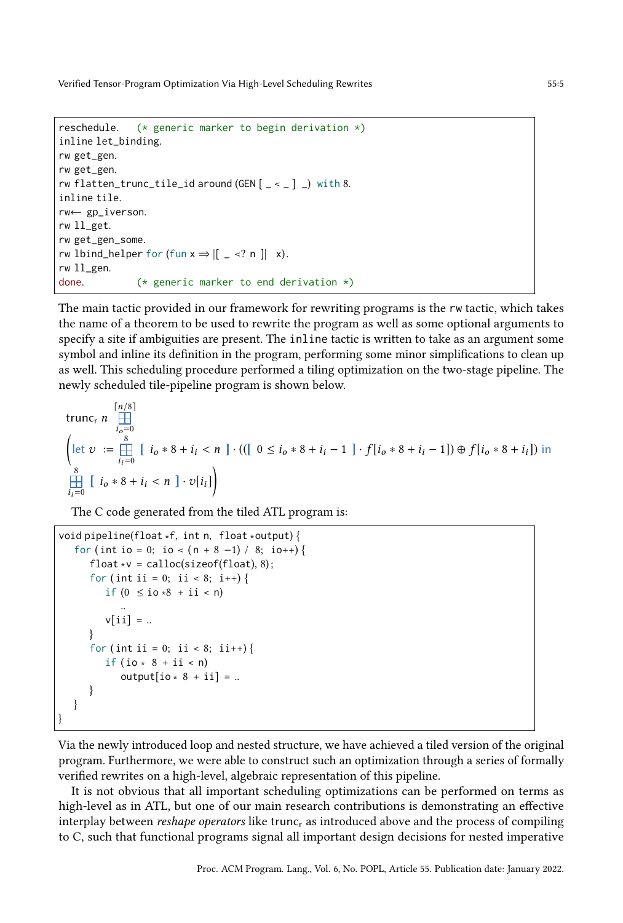```
reschedule. (* generic marker to begin derivation *)inline let_binding.
rw get_gen.
rw get_gen.
rw flatten_trunc_tile_id around (GEN [ - < ] ) with 8.
inline tile.
rw← gp_iverson.
rw ll_get.
rw get_gen_some.
rw lbind_helper for (fun x \Rightarrow [[ - \le ? \ n \ ] \ x).
rw ll_gen.
done. (* generic marker to end derivation *)
```
The main tactic provided in our framework for rewriting programs is the rw tactic, which takes the name of a theorem to be used to rewrite the program as well as some optional arguments to specify a site if ambiguities are present. The inline tactic is written to take as an argument some symbol and inline its definition in the program, performing some minor simplifications to clean up as well. This scheduling procedure performed a tiling optimization on the two-stage pipeline. The newly scheduled tile-pipeline program is shown below.

trunc<sub>r</sub> 
$$
n \underbrace{\bigoplus_{i_0=0}^{[n/8]}}_{i_1=0}
$$
  
\n
$$
\left(\text{let } v := \underbrace{\bigoplus_{i_1=0}^{8} [i_0 * 8 + i_i < n] \cdot (([0 \le i_0 * 8 + i_i - 1] \cdot f[i_0 * 8 + i_i - 1]) \oplus f[i_0 * 8 + i_i]) \text{ in } \bigoplus_{i_1=0}^{8} [i_0 * 8 + i_i < n] \cdot v[i_i]\right)
$$

The C code generated from the tiled ATL program is:

```
void pipeline(float ∗f, int n, float ∗output) {
   for (int io = 0; io < (n + 8 - 1) / 8; io++) {
      float *v = calloc(sizeof(float), 8);for (int ii = 0; ii < 8; i++) {
         if (0 ≤ io ∗8 + ii < n)
            ..
         v[i] = ...}
      for (int ii = 0; ii < 8; ii++) {
         if ( io ∗ 8 + ii < n)
            output[io * 8 + ii] = ..
      }
  }
}
```
Via the newly introduced loop and nested structure, we have achieved a tiled version of the original program. Furthermore, we were able to construct such an optimization through a series of formally verified rewrites on a high-level, algebraic representation of this pipeline.

It is not obvious that all important scheduling optimizations can be performed on terms as high-level as in ATL, but one of our main research contributions is demonstrating an effective interplay between *reshape operators* like trunc<sub>r</sub> as introduced above and the process of compiling to C, such that functional programs signal all important design decisions for nested imperative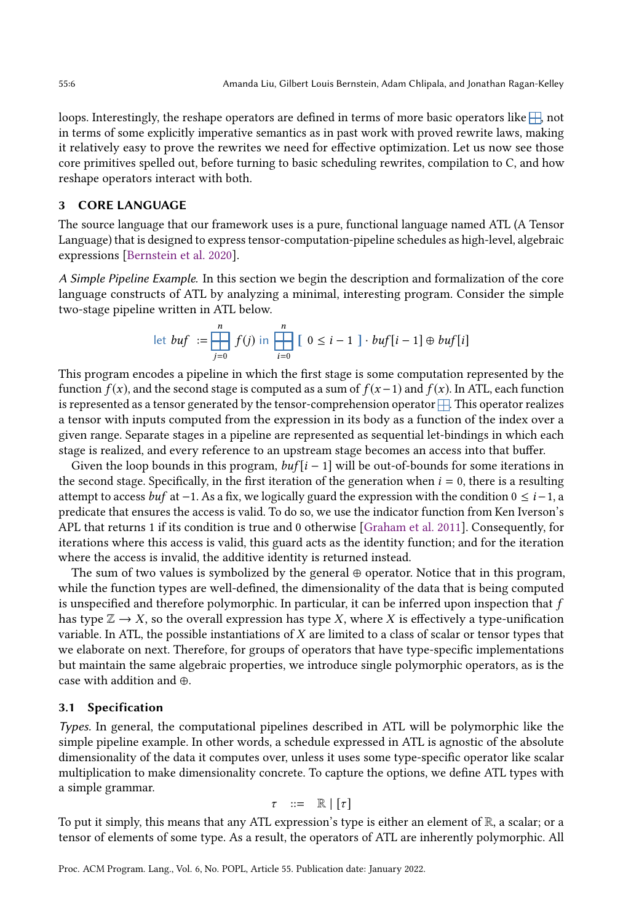loops. Interestingly, the reshape operators are defined in terms of more basic operators like  $\Box$ , not in terms of some explicitly imperative semantics as in past work with proved rewrite laws, making it relatively easy to prove the rewrites we need for effective optimization. Let us now see those core primitives spelled out, before turning to basic scheduling rewrites, compilation to C, and how reshape operators interact with both.

#### 3 CORE LANGUAGE

The source language that our framework uses is a pure, functional language named ATL (A Tensor Language) that is designed to express tensor-computation-pipeline schedules as high-level, algebraic expressions [\[Bernstein et al. 2020\]](#page-26-3).

A Simple Pipeline Example. In this section we begin the description and formalization of the core language constructs of ATL by analyzing a minimal, interesting program. Consider the simple two-stage pipeline written in ATL below.

let 
$$
buf := \prod_{j=0}^n f(j)
$$
 in  $\prod_{i=0}^n [0 \leq i-1] \cdot buf[i-1] \oplus buf[i]$ 

This program encodes a pipeline in which the first stage is some computation represented by the function  $f(x)$ , and the second stage is computed as a sum of  $f(x-1)$  and  $f(x)$ . In ATL, each function is represented as a tensor generated by the tensor-comprehension operator  $\Box$ . This operator realizes a tensor with inputs computed from the expression in its body as a function of the index over a given range. Separate stages in a pipeline are represented as sequential let-bindings in which each stage is realized, and every reference to an upstream stage becomes an access into that buffer.

Given the loop bounds in this program,  $buf[i-1]$  will be out-of-bounds for some iterations in the second stage. Specifically, in the first iteration of the generation when  $i = 0$ , there is a resulting attempt to access buf at −1. As a fix, we logically guard the expression with the condition  $0 \le i-1$ , a predicate that ensures the access is valid. To do so, we use the indicator function from Ken Iverson's APL that returns 1 if its condition is true and 0 otherwise [\[Graham et al. 2011\]](#page-26-4). Consequently, for iterations where this access is valid, this guard acts as the identity function; and for the iteration where the access is invalid, the additive identity is returned instead.

The sum of two values is symbolized by the general  $\oplus$  operator. Notice that in this program, while the function types are well-defined, the dimensionality of the data that is being computed is unspecified and therefore polymorphic. In particular, it can be inferred upon inspection that  $f$ has type  $\mathbb{Z} \to X$ , so the overall expression has type X, where X is effectively a type-unification variable. In ATL, the possible instantiations of  $X$  are limited to a class of scalar or tensor types that we elaborate on next. Therefore, for groups of operators that have type-specific implementations but maintain the same algebraic properties, we introduce single polymorphic operators, as is the case with addition and ⊕.

#### 3.1 Specification

Types. In general, the computational pipelines described in ATL will be polymorphic like the simple pipeline example. In other words, a schedule expressed in ATL is agnostic of the absolute dimensionality of the data it computes over, unless it uses some type-specific operator like scalar multiplication to make dimensionality concrete. To capture the options, we define ATL types with a simple grammar.

$$
\tau \quad ::= \quad \mathbb{R} \mid [\tau]
$$

To put it simply, this means that any ATL expression's type is either an element of  $\mathbb{R}$ , a scalar; or a tensor of elements of some type. As a result, the operators of ATL are inherently polymorphic. All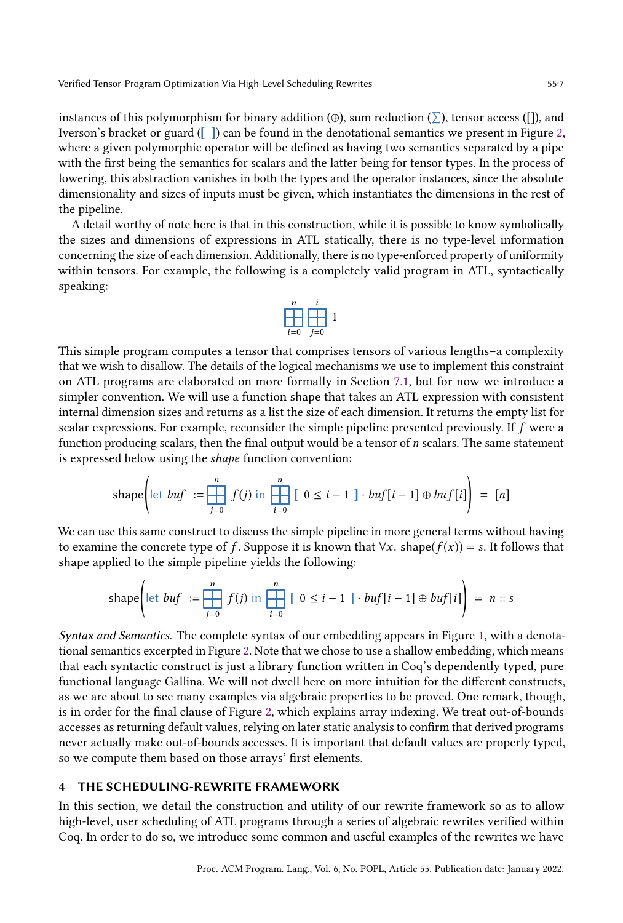instances of this polymorphism for binary addition (⊕), sum reduction (∑), tensor access ([]), and Iverson's bracket or guard ([ ]) can be found in the denotational semantics we present in Figure [2,](#page-7-0) where a given polymorphic operator will be defined as having two semantics separated by a pipe with the first being the semantics for scalars and the latter being for tensor types. In the process of lowering, this abstraction vanishes in both the types and the operator instances, since the absolute dimensionality and sizes of inputs must be given, which instantiates the dimensions in the rest of the pipeline.

A detail worthy of note here is that in this construction, while it is possible to know symbolically the sizes and dimensions of expressions in ATL statically, there is no type-level information concerning the size of each dimension. Additionally, there is no type-enforced property of uniformity within tensors. For example, the following is a completely valid program in ATL, syntactically speaking:



This simple program computes a tensor that comprises tensors of various lengths-a complexity that we wish to disallow. The details of the logical mechanisms we use to implement this constraint on ATL programs are elaborated on more formally in Section [7.1,](#page-19-0) but for now we introduce a simpler convention. We will use a function shape that takes an ATL expression with consistent internal dimension sizes and returns as a list the size of each dimension. It returns the empty list for scalar expressions. For example, reconsider the simple pipeline presented previously. If f were a function producing scalars, then the final output would be a tensor of  $n$  scalars. The same statement is expressed below using the shape function convention:

shape
$$
\left(\n\begin{bmatrix}\n\text{let } but \quad \text{:= }\prod_{j=0}^{n} f(j) \text{ in } \prod_{i=0}^{n} \left[ 0 \leq i-1 \right] \cdot \text{buf}[i-1] \oplus \text{buf}[i]\n\end{bmatrix}\n= [n]
$$

We can use this same construct to discuss the simple pipeline in more general terms without having to examine the concrete type of f. Suppose it is known that  $\forall x$ . shape( $f(x)$ ) = s. It follows that shape applied to the simple pipeline yields the following:

$$
\text{shape}\bigg(\text{let }buf \ := \ \bigsqcup_{j=0}^n \ f(j) \ \text{in} \ \ \bigsqcup_{i=0}^n \ \ [\ \ 0 \leq i-1 \ \ ] \cdot \ \text{buf}[i-1] \oplus \ \text{buf}[i] \bigg) \ = \ n::s
$$

Syntax and Semantics. The complete syntax of our embedding appears in Figure [1,](#page-7-1) with a denotational semantics excerpted in Figure [2.](#page-7-0) Note that we chose to use a shallow embedding, which means that each syntactic construct is just a library function written in Coq's dependently typed, pure functional language Gallina. We will not dwell here on more intuition for the different constructs, as we are about to see many examples via algebraic properties to be proved. One remark, though, is in order for the final clause of Figure [2,](#page-7-0) which explains array indexing. We treat out-of-bounds accesses as returning default values, relying on later static analysis to confirm that derived programs never actually make out-of-bounds accesses. It is important that default values are properly typed, so we compute them based on those arrays' first elements.

# 4 THE SCHEDULING-REWRITE FRAMEWORK

In this section, we detail the construction and utility of our rewrite framework so as to allow high-level, user scheduling of ATL programs through a series of algebraic rewrites verified within Coq. In order to do so, we introduce some common and useful examples of the rewrites we have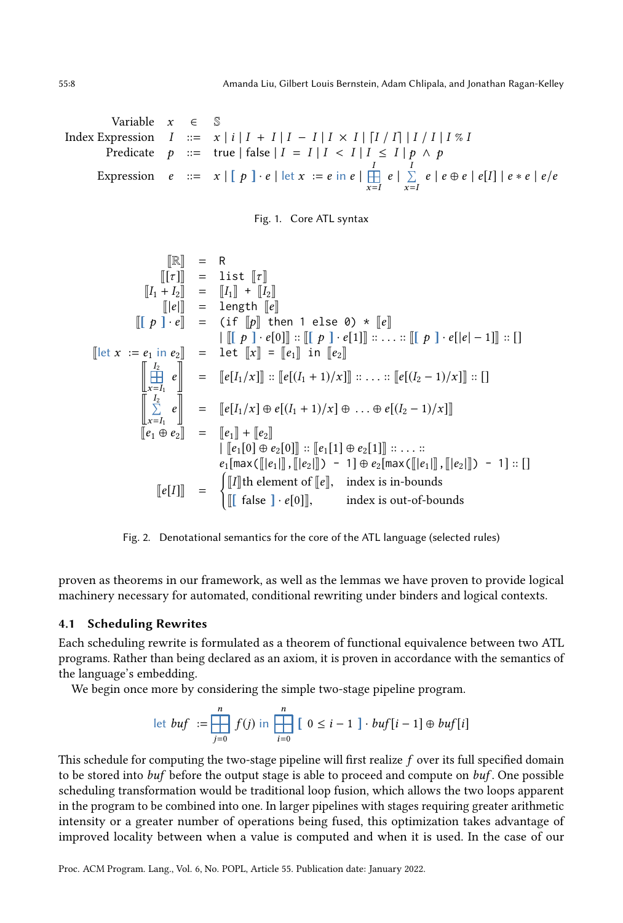<span id="page-7-1"></span>Variable  $x \in \mathbb{S}$ Index Expression  $I := x | i | I + I | I - I | I \times I | [I / I] | I / I | I \times I$ Predicate  $p ::= true | false | I = I | I < I | I \le I | p \land p$ Expression  $e ::= x \mid [p] \cdot e \mid \text{let } x := e \text{ in } e \mid \frac{1}{12}$  $\frac{I}{x=I}$  e |  $\sum_{x=1}^{I}$  $\sum_{x=I} e | e \oplus e | e[I] | e * e | e/e$ 

Fig. 1. Core ATL syntax

<span id="page-7-0"></span><sup>J</sup>R<sup>K</sup> <sup>=</sup> <sup>R</sup> <sup>J</sup>[<sup>τ</sup> ]<sup>K</sup> <sup>=</sup> list <sup>J</sup><sup>τ</sup> <sup>K</sup> <sup>J</sup>I<sup>1</sup> <sup>+</sup> <sup>I</sup>2<sup>K</sup> <sup>=</sup> <sup>J</sup>I1<sup>K</sup> <sup>+</sup> <sup>J</sup>I2<sup>K</sup> <sup>J</sup>|<sup>e</sup> <sup>|</sup><sup>K</sup> <sup>=</sup> length <sup>J</sup>e<sup>K</sup> <sup>J</sup>[ <sup>p</sup> ] · <sup>e</sup><sup>K</sup> <sup>=</sup> (if <sup>J</sup>p<sup>K</sup> then 1 else 0) \* <sup>J</sup>e<sup>K</sup> <sup>|</sup> <sup>J</sup>[ <sup>p</sup> ] · <sup>e</sup>[0]<sup>K</sup> :: <sup>J</sup>[ <sup>p</sup> ] · <sup>e</sup>[1]<sup>K</sup> :: . . . :: <sup>J</sup>[ <sup>p</sup> ] · <sup>e</sup>[|<sup>e</sup> | − <sup>1</sup>]<sup>K</sup> :: [] <sup>J</sup>let <sup>x</sup> :<sup>=</sup> <sup>e</sup><sup>1</sup> in <sup>e</sup>2<sup>K</sup> <sup>=</sup> let <sup>J</sup>x<sup>K</sup> <sup>=</sup> <sup>J</sup>e1<sup>K</sup> in <sup>J</sup>e2<sup>K</sup> s I2 x=I<sup>1</sup> e { <sup>=</sup> <sup>J</sup>e[I1/x]<sup>K</sup> :: <sup>J</sup>e[(I<sup>1</sup> <sup>+</sup> <sup>1</sup>)/x]<sup>K</sup> :: . . . :: <sup>J</sup>e[(I<sup>2</sup> <sup>−</sup> <sup>1</sup>)/x]<sup>K</sup> :: [] s Í I2 x=I<sup>1</sup> e { <sup>=</sup> <sup>J</sup>e[I1/x] ⊕ <sup>e</sup>[(I<sup>1</sup> <sup>+</sup> <sup>1</sup>)/x] ⊕ . . . <sup>⊕</sup> <sup>e</sup>[(I<sup>2</sup> <sup>−</sup> <sup>1</sup>)/x]<sup>K</sup> <sup>J</sup>e<sup>1</sup> <sup>⊕</sup> <sup>e</sup>2<sup>K</sup> <sup>=</sup> <sup>J</sup>e1<sup>K</sup> <sup>+</sup> <sup>J</sup>e2<sup>K</sup> <sup>|</sup> <sup>J</sup>e1[0] ⊕ <sup>e</sup>2[0]<sup>K</sup> :: <sup>J</sup>e1[1] ⊕ <sup>e</sup>2[1]<sup>K</sup> :: . . . :: <sup>e</sup>1[max(J|e<sup>1</sup> <sup>|</sup>K,J|e<sup>2</sup> <sup>|</sup>K) - 1] ⊕ <sup>e</sup>2[max(J|e<sup>1</sup> <sup>|</sup>K,J|e<sup>2</sup> <sup>|</sup>K) - 1] :: [] <sup>J</sup>e[I]<sup>K</sup> <sup>=</sup> ( <sup>J</sup><sup>I</sup> <sup>K</sup>th element of <sup>J</sup>eK, index is in-bounds <sup>J</sup>[ false ] · <sup>e</sup>[0]K, index is out-of-bounds

Fig. 2. Denotational semantics for the core of the ATL language (selected rules)

proven as theorems in our framework, as well as the lemmas we have proven to provide logical machinery necessary for automated, conditional rewriting under binders and logical contexts.

#### 4.1 Scheduling Rewrites

Each scheduling rewrite is formulated as a theorem of functional equivalence between two ATL programs. Rather than being declared as an axiom, it is proven in accordance with the semantics of the language's embedding.

We begin once more by considering the simple two-stage pipeline program.

let 
$$
buf := \prod_{j=0}^n f(j)
$$
 in  $\prod_{i=0}^n [0 \leq i-1] \cdot buf[i-1] \oplus buf[i]$ 

This schedule for computing the two-stage pipeline will first realize  $f$  over its full specified domain to be stored into *buf* before the output stage is able to proceed and compute on *buf*. One possible scheduling transformation would be traditional loop fusion, which allows the two loops apparent in the program to be combined into one. In larger pipelines with stages requiring greater arithmetic intensity or a greater number of operations being fused, this optimization takes advantage of improved locality between when a value is computed and when it is used. In the case of our

Proc. ACM Program. Lang., Vol. 6, No. POPL, Article 55. Publication date: January 2022.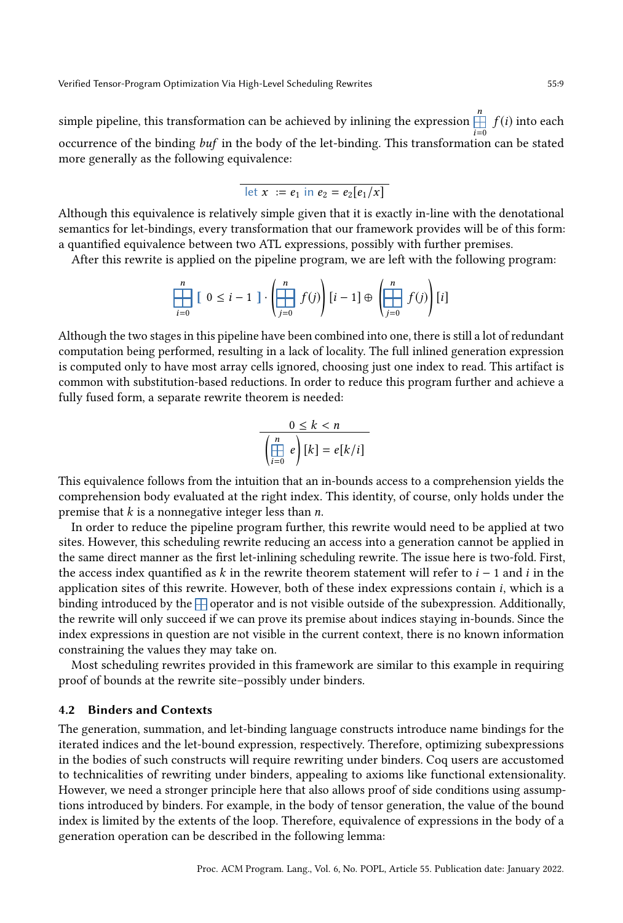simple pipeline, this transformation can be achieved by inlining the expression  $\mathop\Box^n$  $\prod_{i=0}$   $f(i)$  into each occurrence of the binding buf in the body of the let-binding. This transformation can be stated more generally as the following equivalence:

let 
$$
x := e_1
$$
 in  $e_2 = e_2[e_1/x]$ 

Although this equivalence is relatively simple given that it is exactly in-line with the denotational semantics for let-bindings, every transformation that our framework provides will be of this form: a quantified equivalence between two ATL expressions, possibly with further premises.

After this rewrite is applied on the pipeline program, we are left with the following program:

$$
\prod_{i=0}^{n} [0 \leq i-1] \cdot \left(\prod_{j=0}^{n} f(j)\right) [i-1] \oplus \left(\prod_{j=0}^{n} f(j)\right) [i]
$$

Although the two stages in this pipeline have been combined into one, there is still a lot of redundant computation being performed, resulting in a lack of locality. The full inlined generation expression is computed only to have most array cells ignored, choosing just one index to read. This artifact is common with substitution-based reductions. In order to reduce this program further and achieve a fully fused form, a separate rewrite theorem is needed:

$$
0 \le k < n
$$
\n
$$
\left(\prod_{i=0}^n e\right)[k] = e[k/i]
$$

This equivalence follows from the intuition that an in-bounds access to a comprehension yields the comprehension body evaluated at the right index. This identity, of course, only holds under the premise that  $k$  is a nonnegative integer less than  $n$ .

In order to reduce the pipeline program further, this rewrite would need to be applied at two sites. However, this scheduling rewrite reducing an access into a generation cannot be applied in the same direct manner as the first let-inlining scheduling rewrite. The issue here is two-fold. First, the access index quantified as k in the rewrite theorem statement will refer to  $i - 1$  and i in the application sites of this rewrite. However, both of these index expressions contain i, which is a binding introduced by the  $\Box$  operator and is not visible outside of the subexpression. Additionally, the rewrite will only succeed if we can prove its premise about indices staying in-bounds. Since the index expressions in question are not visible in the current context, there is no known information constraining the values they may take on.

Most scheduling rewrites provided in this framework are similar to this example in requiring proof of bounds at the rewrite site-possibly under binders.

## <span id="page-8-0"></span>4.2 Binders and Contexts

The generation, summation, and let-binding language constructs introduce name bindings for the iterated indices and the let-bound expression, respectively. Therefore, optimizing subexpressions in the bodies of such constructs will require rewriting under binders. Coq users are accustomed to technicalities of rewriting under binders, appealing to axioms like functional extensionality. However, we need a stronger principle here that also allows proof of side conditions using assumptions introduced by binders. For example, in the body of tensor generation, the value of the bound index is limited by the extents of the loop. Therefore, equivalence of expressions in the body of a generation operation can be described in the following lemma: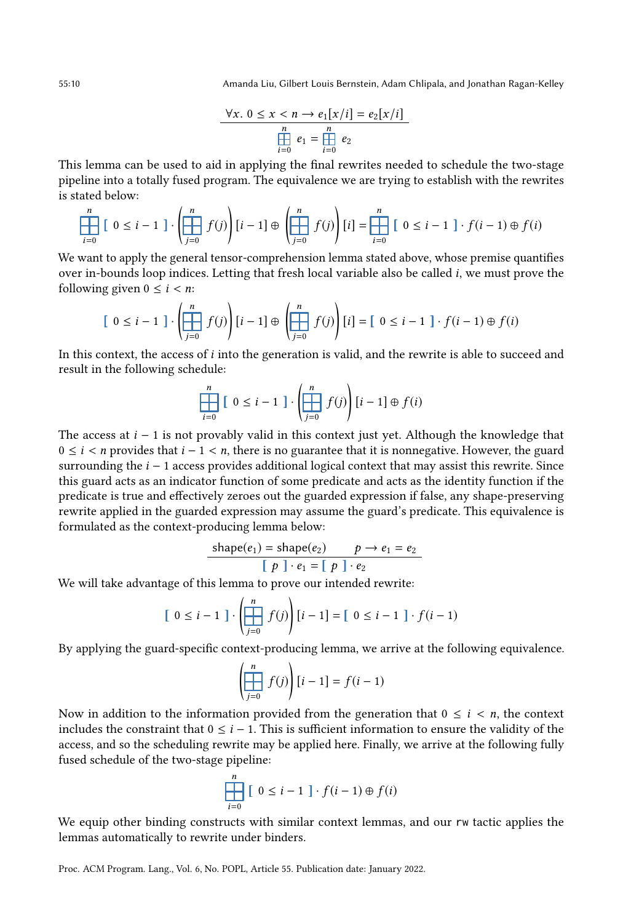55:10 Amanda Liu, Gilbert Louis Bernstein, Adam Chlipala, and Jonathan Ragan-Kelley

$$
\frac{\forall x. \ 0 \le x < n \to e_1[x/i] = e_2[x/i]}{\prod_{i=0}^n e_1 = \prod_{i=0}^n e_2}
$$

This lemma can be used to aid in applying the final rewrites needed to schedule the two-stage pipeline into a totally fused program. The equivalence we are trying to establish with the rewrites is stated below:

$$
\prod_{i=0}^{n} [0 \leq i-1] \cdot \left(\prod_{j=0}^{n} f(j)\right) [i-1] \oplus \left(\prod_{j=0}^{n} f(j)\right) [i] = \prod_{i=0}^{n} [0 \leq i-1] \cdot f(i-1) \oplus f(i)
$$

We want to apply the general tensor-comprehension lemma stated above, whose premise quantifies over in-bounds loop indices. Letting that fresh local variable also be called  $i$ , we must prove the following given  $0 \le i \le n$ :

$$
\left[\begin{array}{c}0 \leq i-1\end{array}\right] \cdot \left(\prod_{j=0}^n f(j)\right) [i-1] \oplus \left(\prod_{j=0}^n f(j)\right) [i] = \left[\begin{array}{c}0 \leq i-1\end{array}\right] \cdot f(i-1) \oplus f(i)
$$

In this context, the access of i into the generation is valid, and the rewrite is able to succeed and result in the following schedule:

$$
\prod_{i=0}^{n} [0 \leq i-1] \cdot \left(\prod_{j=0}^{n} f(j)\right) [i-1] \oplus f(i)
$$

The access at  $i - 1$  is not provably valid in this context just yet. Although the knowledge that  $0 \le i < n$  provides that  $i - 1 < n$ , there is no guarantee that it is nonnegative. However, the guard surrounding the  $i - 1$  access provides additional logical context that may assist this rewrite. Since this guard acts as an indicator function of some predicate and acts as the identity function if the predicate is true and effectively zeroes out the guarded expression if false, any shape-preserving rewrite applied in the guarded expression may assume the guard's predicate. This equivalence is formulated as the context-producing lemma below:

shape(
$$
e_1
$$
) = shape( $e_2$ )  $p \rightarrow e_1 = e_2$   
\n $\begin{bmatrix} p \\ \end{bmatrix} \cdot e_1 = \begin{bmatrix} p \\ \end{bmatrix} \cdot e_2$ 

We will take advantage of this lemma to prove our intended rewrite:

$$
\left[\begin{array}{c}0 \leq i-1\end{array}\right] \cdot \left(\left[\begin{array}{c}n \\ \hline \text{ }j=0\end{array}\right] f(j)\right) [i-1] = \left[\begin{array}{c}0 \leq i-1\end{array}\right] \cdot f(i-1)
$$

By applying the guard-specific context-producing lemma, we arrive at the following equivalence.

$$
\left(\prod_{j=0}^{n} f(j)\right)[i-1] = f(i-1)
$$

Now in addition to the information provided from the generation that  $0 \le i \le n$ , the context includes the constraint that  $0 \le i - 1$ . This is sufficient information to ensure the validity of the access, and so the scheduling rewrite may be applied here. Finally, we arrive at the following fully fused schedule of the two-stage pipeline:

$$
\prod_{i=0}^{n} [0 \leq i-1] \cdot f(i-1) \oplus f(i)
$$

We equip other binding constructs with similar context lemmas, and our rw tactic applies the lemmas automatically to rewrite under binders.

Proc. ACM Program. Lang., Vol. 6, No. POPL, Article 55. Publication date: January 2022.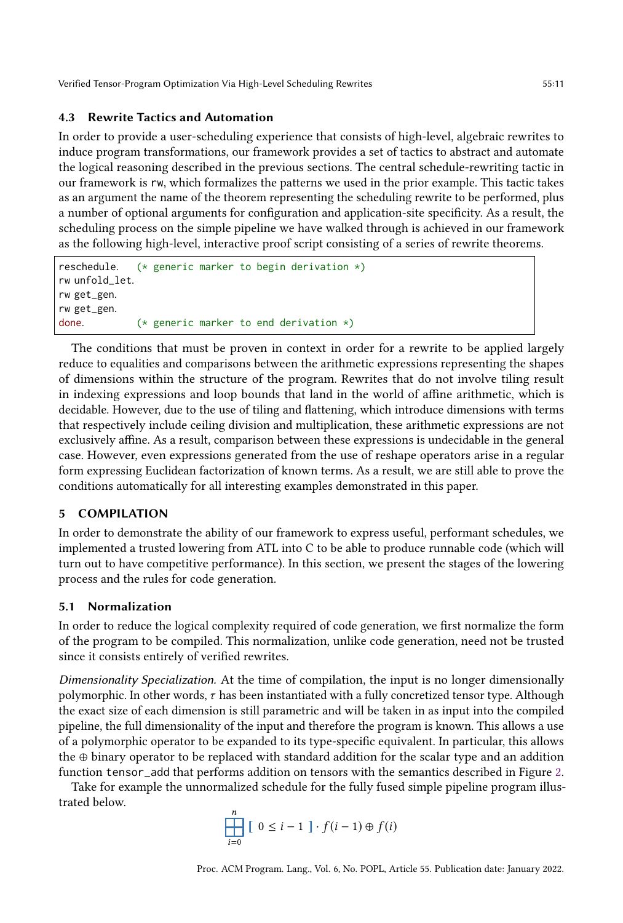# 4.3 Rewrite Tactics and Automation

In order to provide a user-scheduling experience that consists of high-level, algebraic rewrites to induce program transformations, our framework provides a set of tactics to abstract and automate the logical reasoning described in the previous sections. The central schedule-rewriting tactic in our framework is rw, which formalizes the patterns we used in the prior example. This tactic takes as an argument the name of the theorem representing the scheduling rewrite to be performed, plus a number of optional arguments for configuration and application-site specificity. As a result, the scheduling process on the simple pipeline we have walked through is achieved in our framework as the following high-level, interactive proof script consisting of a series of rewrite theorems.

```
reschedule. (* generic marker to begin derivation *)
rw unfold_let.
rw get_gen.
rw get_gen.
done. (* generic marker to end derivation *)
```
The conditions that must be proven in context in order for a rewrite to be applied largely reduce to equalities and comparisons between the arithmetic expressions representing the shapes of dimensions within the structure of the program. Rewrites that do not involve tiling result in indexing expressions and loop bounds that land in the world of affine arithmetic, which is decidable. However, due to the use of tiling and flattening, which introduce dimensions with terms that respectively include ceiling division and multiplication, these arithmetic expressions are not exclusively affine. As a result, comparison between these expressions is undecidable in the general case. However, even expressions generated from the use of reshape operators arise in a regular form expressing Euclidean factorization of known terms. As a result, we are still able to prove the conditions automatically for all interesting examples demonstrated in this paper.

# 5 COMPILATION

In order to demonstrate the ability of our framework to express useful, performant schedules, we implemented a trusted lowering from ATL into C to be able to produce runnable code (which will turn out to have competitive performance). In this section, we present the stages of the lowering process and the rules for code generation.

# 5.1 Normalization

In order to reduce the logical complexity required of code generation, we first normalize the form of the program to be compiled. This normalization, unlike code generation, need not be trusted since it consists entirely of verified rewrites.

Dimensionality Specialization. At the time of compilation, the input is no longer dimensionally polymorphic. In other words,  $\tau$  has been instantiated with a fully concretized tensor type. Although the exact size of each dimension is still parametric and will be taken in as input into the compiled pipeline, the full dimensionality of the input and therefore the program is known. This allows a use of a polymorphic operator to be expanded to its type-specific equivalent. In particular, this allows the  $oplus$  binary operator to be replaced with standard addition for the scalar type and an addition function tensor\_add that performs addition on tensors with the semantics described in Figure [2.](#page-7-0)

Take for example the unnormalized schedule for the fully fused simple pipeline program illustrated below.

$$
\prod_{i=0}^{n} [0 \leq i-1] \cdot f(i-1) \oplus f(i)
$$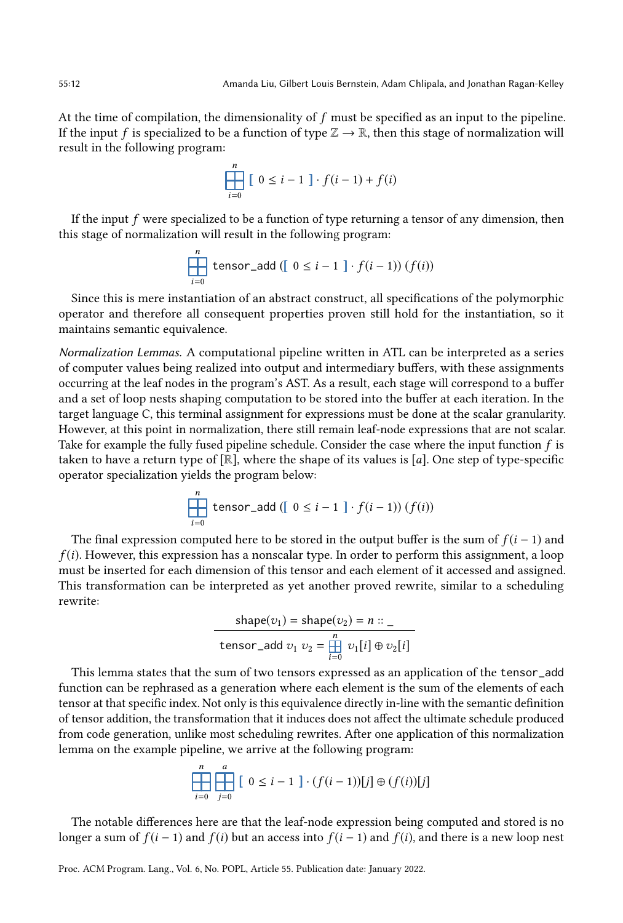At the time of compilation, the dimensionality of  $f$  must be specified as an input to the pipeline. If the input f is specialized to be a function of type  $\mathbb{Z} \to \mathbb{R}$ , then this stage of normalization will result in the following program:

$$
\prod_{i=0}^{n} [0 \leq i-1] \cdot f(i-1) + f(i)
$$

If the input  $f$  were specialized to be a function of type returning a tensor of any dimension, then this stage of normalization will result in the following program:

$$
\prod_{i=0}^{n} \text{tensor\_add} ([0 \leq i-1] \cdot f(i-1)) (f(i))
$$

Since this is mere instantiation of an abstract construct, all specifications of the polymorphic operator and therefore all consequent properties proven still hold for the instantiation, so it maintains semantic equivalence.

Normalization Lemmas. A computational pipeline written in ATL can be interpreted as a series of computer values being realized into output and intermediary buffers, with these assignments occurring at the leaf nodes in the program's AST. As a result, each stage will correspond to a buffer and a set of loop nests shaping computation to be stored into the buffer at each iteration. In the target language C, this terminal assignment for expressions must be done at the scalar granularity. However, at this point in normalization, there still remain leaf-node expressions that are not scalar. Take for example the fully fused pipeline schedule. Consider the case where the input function  $f$  is taken to have a return type of  $[\mathbb{R}]$ , where the shape of its values is [a]. One step of type-specific operator specialization yields the program below:

$$
\prod_{i=0} \text{tensor\_add} ([0 \leq i-1] \cdot f(i-1)) (f(i))
$$

n

n

The final expression computed here to be stored in the output buffer is the sum of  $f(i - 1)$  and  $f(i)$ . However, this expression has a nonscalar type. In order to perform this assignment, a loop must be inserted for each dimension of this tensor and each element of it accessed and assigned. This transformation can be interpreted as yet another proved rewrite, similar to a scheduling rewrite:

shape(
$$
v_1
$$
) = shape( $v_2$ ) =  $n ::$   
tensor.add  $v_1 v_2 = \prod_{i=0}^{n} v_1[i] \oplus v_2[i]$ 

This lemma states that the sum of two tensors expressed as an application of the tensor\_add function can be rephrased as a generation where each element is the sum of the elements of each tensor at that specific index. Not only is this equivalence directly in-line with the semantic definition of tensor addition, the transformation that it induces does not affect the ultimate schedule produced from code generation, unlike most scheduling rewrites. After one application of this normalization lemma on the example pipeline, we arrive at the following program:

$$
\overbrace{\mathop{\bigsqcup}\limits_{i=0}^{n}\mathop{\bigsqcup}\limits_{j=0}^{a}\left[\begin{array}{c} 0 \leq i-1 \end{array}\right] \cdot (f(i-1))[j] \oplus (f(i))[j]
$$

The notable differences here are that the leaf-node expression being computed and stored is no longer a sum of  $f(i - 1)$  and  $f(i)$  but an access into  $f(i - 1)$  and  $f(i)$ , and there is a new loop nest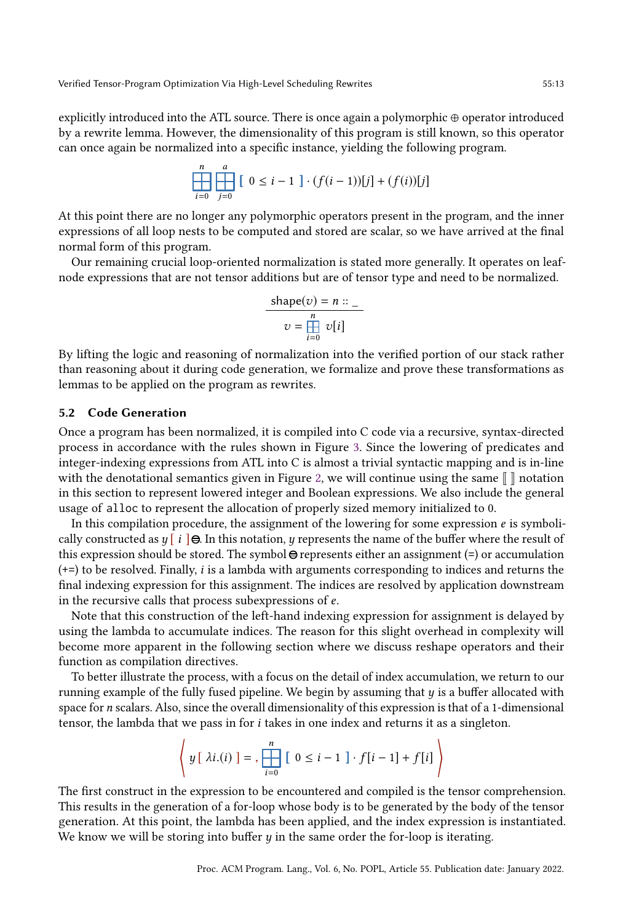explicitly introduced into the ATL source. There is once again a polymorphic ⊕ operator introduced by a rewrite lemma. However, the dimensionality of this program is still known, so this operator can once again be normalized into a specific instance, yielding the following program.

$$
\prod_{i=0}^n \prod_{j=0}^a [0 \leq i-1] \cdot (f(i-1))[j] + (f(i))[j]
$$

At this point there are no longer any polymorphic operators present in the program, and the inner expressions of all loop nests to be computed and stored are scalar, so we have arrived at the final normal form of this program.

Our remaining crucial loop-oriented normalization is stated more generally. It operates on leafnode expressions that are not tensor additions but are of tensor type and need to be normalized.

shape(v) = n ::  

$$
v = \frac{n}{\bigsqcup_{i=0}^{n} v[i]}
$$

By lifting the logic and reasoning of normalization into the verified portion of our stack rather than reasoning about it during code generation, we formalize and prove these transformations as lemmas to be applied on the program as rewrites.

## 5.2 Code Generation

Once a program has been normalized, it is compiled into C code via a recursive, syntax-directed process in accordance with the rules shown in Figure [3.](#page-13-0) Since the lowering of predicates and integer-indexing expressions from ATL into C is almost a trivial syntactic mapping and is in-line with the denotational semantics given in Figure [2,](#page-7-0) we will continue using the same  $\|\cdot\|$  notation in this section to represent lowered integer and Boolean expressions. We also include the general usage of alloc to represent the allocation of properly sized memory initialized to 0.

In this compilation procedure, the assignment of the lowering for some expression  $e$  is symbolically constructed as  $y[i] \Theta$ . In this notation, y represents the name of the buffer where the result of this expression should be stored. The symbol  $\bigoplus$  represents either an assignment (=) or accumulation  $(+)$  to be resolved. Finally, *i* is a lambda with arguments corresponding to indices and returns the final indexing expression for this assignment. The indices are resolved by application downstream in the recursive calls that process subexpressions of e.

Note that this construction of the left-hand indexing expression for assignment is delayed by using the lambda to accumulate indices. The reason for this slight overhead in complexity will become more apparent in the following section where we discuss reshape operators and their function as compilation directives.

To better illustrate the process, with a focus on the detail of index accumulation, we return to our running example of the fully fused pipeline. We begin by assuming that  $\psi$  is a buffer allocated with space for n scalars. Also, since the overall dimensionality of this expression is that of a 1-dimensional tensor, the lambda that we pass in for i takes in one index and returns it as a singleton.

$$
\left\langle y \left[ \lambda i.(i) \right] \right. = \left. , \left. \right| \left. \underset{i=0}{\overset{n}{\prod}} \left[ 0 \leq i-1 \right] \right. \cdot f[i-1] + f[i] \right\rangle
$$

The first construct in the expression to be encountered and compiled is the tensor comprehension. This results in the generation of a for-loop whose body is to be generated by the body of the tensor generation. At this point, the lambda has been applied, and the index expression is instantiated. We know we will be storing into buffer  $y$  in the same order the for-loop is iterating.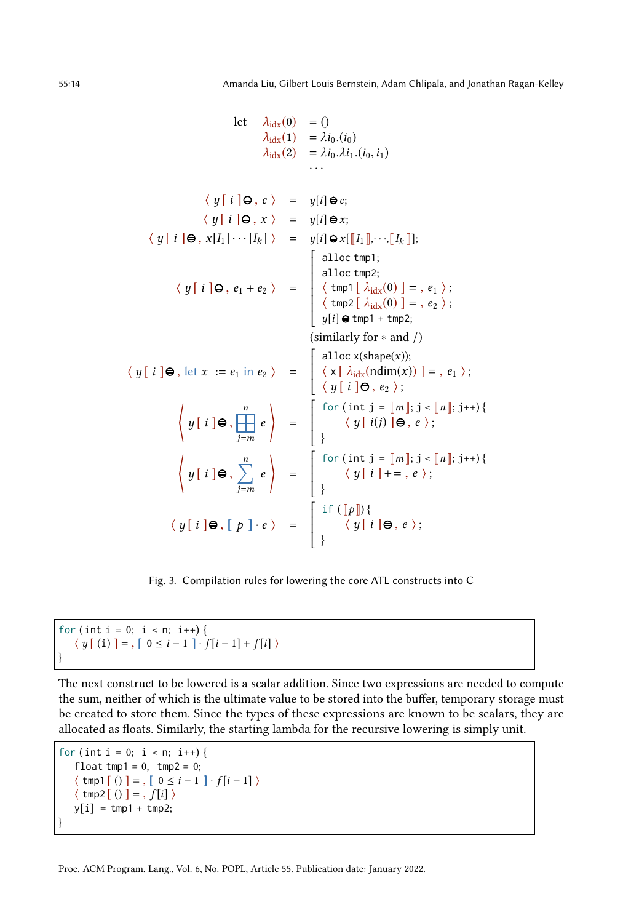<span id="page-13-0"></span>let 
$$
\lambda_{idx}(0) = ()
$$
  
\n $\lambda_{idx}(1) = \lambda i_0.(i_0)$   
\n $\lambda_{idx}(2) = \lambda i_0.\lambda i_1.(i_0, i_1)$   
\n...  
\n $\langle y[i] \oplus, c \rangle = y[i] \oplus c;$   
\n $\langle y[i] \oplus, x[i] \oplus y[i] \oplus x[0,1] \oplus y[i] \oplus x[0,1] \oplus y[i] \oplus y[1,0] \oplus y[1,0] \oplus y[1,0] \oplus y[1,0] \oplus y[1,0] \oplus y[1,0] \oplus y[1,0] \oplus y[1,0] \oplus y[1,0] \oplus y[1,0] \oplus y[1,0] \oplus y[1,0] \oplus y[1,0] \oplus y[1,0] \oplus y[1,0] \oplus y[1,0] \oplus y[1,0] \oplus y[1,0] \oplus y[1,0] \oplus y[1,0] \oplus y[1,0] \oplus y[1,0] \oplus y[1,0] \oplus y[1,0] \oplus y[1,0] \oplus y[1,0] \oplus y[1,0] \oplus y[1,0] \oplus y[1,0] \oplus y[1,0] \oplus y[1,0] \oplus y[1,0] \oplus y[1,0] \oplus y[1,0] \oplus y[1,0] \oplus y[1,0] \oplus y[1,0] \oplus y[1,0] \oplus y[1,0] \oplus y[1,0] \oplus y[1,0] \oplus y[1,0] \oplus y[1,0] \oplus y[1,0] \oplus y[1,0] \oplus y[1,0] \oplus y[1,0] \oplus y[1,0] \oplus y[1,0] \oplus y[1,0] \oplus y[1,0] \oplus y[1,0] \oplus y[1,0] \oplus y[1,0] \oplus y[1,0] \oplus y[1,0] \oplus y[1,0] \oplus y[1,0] \oplus y[1,0] \oplus y[1,0] \oplus y[1,0] \oplus y[1,0] \oplus y[1,0] \oplus y[1,0] \oplus y[1,0] \oplus y[1,0] \oplus y[1,0] \opl$ 

Fig. 3. Compilation rules for lowering the core ATL constructs into C

for (int i = 0; i < n; i++) {  $\langle y [ (i) ] = , [ 0 \le i - 1 ] \cdot f[i - 1] + f[i] \rangle$ }

The next construct to be lowered is a scalar addition. Since two expressions are needed to compute the sum, neither of which is the ultimate value to be stored into the buffer, temporary storage must be created to store them. Since the types of these expressions are known to be scalars, they are allocated as floats. Similarly, the starting lambda for the recursive lowering is simply unit.

```
for (int i = 0; i < n; i++) {
    float tmp1 = 0, tmp2 = 0;
    \langle \t{tmp1} [ () ] = , [ 0 \le i - 1 ] \cdot f[i - 1 ] \rangle\langle \text{tmp2} [ () ] = , f[i] \rangley[i] = \text{tmp1} + \text{tmp2};}
```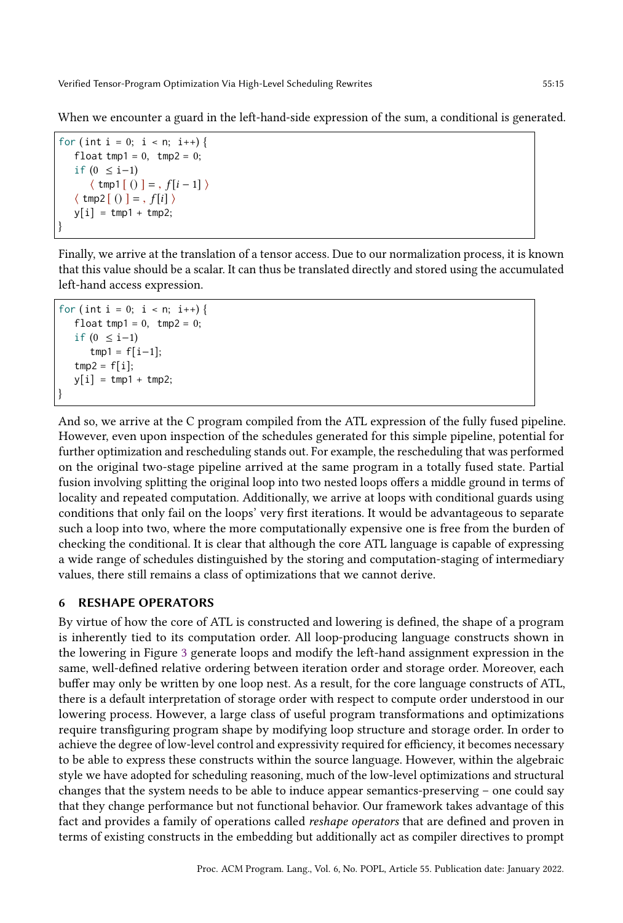When we encounter a guard in the left-hand-side expression of the sum, a conditional is generated.

```
for (int i = 0; i < n; i++) {
    float tmp1 = 0, tmp2 = 0;
    if (0 ≤ i−1)
        \langle \t{tmp1} [ () ] = , f[i-1] \rangle\langle \text{tmp2} [ () ] = , f[i] \rangley[i] = \text{tmp1} + \text{tmp2};}
```
Finally, we arrive at the translation of a tensor access. Due to our normalization process, it is known that this value should be a scalar. It can thus be translated directly and stored using the accumulated left-hand access expression.

```
for (int i = 0; i < n; i++) {
   float tmp1 = 0, tmp2 = 0;
   if (0 ≤ i−1)
      tmp1 = f[i-1];tmp2 = f[i];y[i] = \text{tmp1} + \text{tmp2};}
```
And so, we arrive at the C program compiled from the ATL expression of the fully fused pipeline. However, even upon inspection of the schedules generated for this simple pipeline, potential for further optimization and rescheduling stands out. For example, the rescheduling that was performed on the original two-stage pipeline arrived at the same program in a totally fused state. Partial fusion involving splitting the original loop into two nested loops offers a middle ground in terms of locality and repeated computation. Additionally, we arrive at loops with conditional guards using conditions that only fail on the loops' very first iterations. It would be advantageous to separate such a loop into two, where the more computationally expensive one is free from the burden of checking the conditional. It is clear that although the core ATL language is capable of expressing a wide range of schedules distinguished by the storing and computation-staging of intermediary values, there still remains a class of optimizations that we cannot derive.

# 6 RESHAPE OPERATORS

By virtue of how the core of ATL is constructed and lowering is defined, the shape of a program is inherently tied to its computation order. All loop-producing language constructs shown in the lowering in Figure [3](#page-13-0) generate loops and modify the left-hand assignment expression in the same, well-defined relative ordering between iteration order and storage order. Moreover, each buffer may only be written by one loop nest. As a result, for the core language constructs of ATL, there is a default interpretation of storage order with respect to compute order understood in our lowering process. However, a large class of useful program transformations and optimizations require transfiguring program shape by modifying loop structure and storage order. In order to achieve the degree of low-level control and expressivity required for efficiency, it becomes necessary to be able to express these constructs within the source language. However, within the algebraic style we have adopted for scheduling reasoning, much of the low-level optimizations and structural changes that the system needs to be able to induce appear semantics-preserving  $-$  one could say that they change performance but not functional behavior. Our framework takes advantage of this fact and provides a family of operations called reshape operators that are defined and proven in terms of existing constructs in the embedding but additionally act as compiler directives to prompt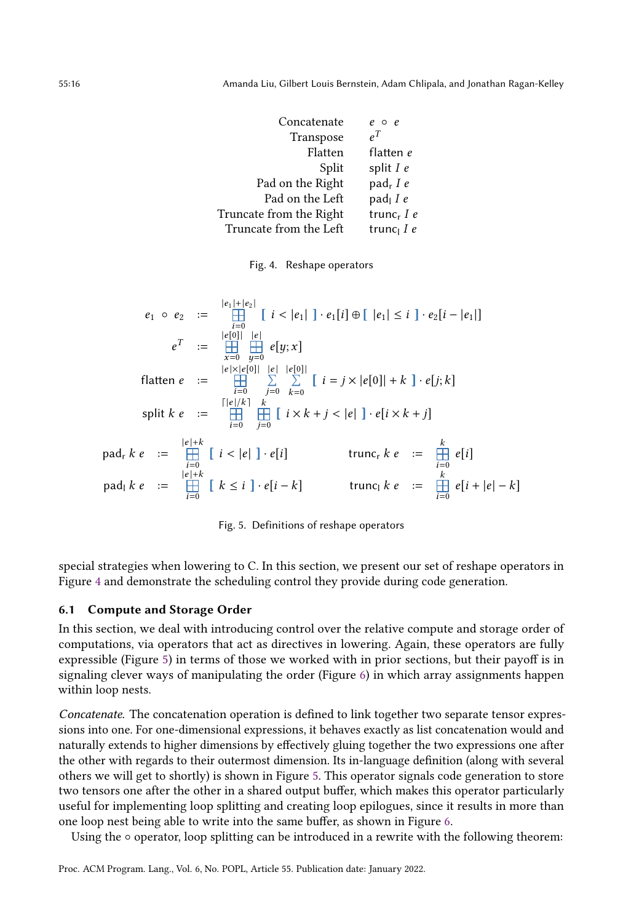<span id="page-15-0"></span>

| Concatenate             | $e \circ e$          |
|-------------------------|----------------------|
| Transpose               | $\rho^T$             |
| Flatten                 | flatten e            |
| Split                   | split $I e$          |
| Pad on the Right        | pad <sub>r</sub> I e |
| Pad on the Left         | pad <sub>l</sub> I e |
| Truncate from the Right | trunc, $I e$         |
| Truncate from the Left  | trunc $I$ e          |

Fig. 4. Reshape operators

<span id="page-15-1"></span>
$$
e_1 \circ e_2 := \bigoplus_{i=0}^{|e_1|+|e_2|} [i < |e_1|] \cdot e_1[i] \oplus [|e_1| \leq i] \cdot e_2[i - |e_1|]
$$
\n
$$
e^T := \bigoplus_{k=0}^{|e[0]|} \bigoplus_{y=0}^{|e|} e[y; x]
$$
\n
$$
\text{flatten } e := \bigoplus_{i=0}^{|e| \times |e[0]|} \bigotimes_{j=0}^{|e|} k e_00]
$$
\n
$$
\text{filter } e := \bigoplus_{i=0}^{|e| \times |e[0]|} \bigotimes_{j=0}^{|e|} k e_01
$$
\n
$$
\text{split } k \cdot e := \bigoplus_{i=0}^{|e| \times k} \bigoplus_{j=0}^{|e| \times k} [i \times k + j < |e|] \cdot e[i \times k + j]
$$
\n
$$
\text{pad}_r \cdot k \cdot e := \bigoplus_{i=0}^{|e|+k} [i < |e|] \cdot e[i] \quad \text{trunc}_r \cdot k \cdot e := \bigoplus_{i=0}^k e[i]
$$
\n
$$
\text{pad}_1 \cdot k \cdot e := \bigoplus_{i=0}^{|e|+k} [k \leq i] \cdot e[i-k] \quad \text{trunc}_1 \cdot k \cdot e := \bigoplus_{i=0}^k e[i + |e| - k]
$$

Fig. 5. Definitions of reshape operators

special strategies when lowering to C. In this section, we present our set of reshape operators in Figure [4](#page-15-0) and demonstrate the scheduling control they provide during code generation.

#### 6.1 Compute and Storage Order

In this section, we deal with introducing control over the relative compute and storage order of computations, via operators that act as directives in lowering. Again, these operators are fully expressible (Figure [5\)](#page-15-1) in terms of those we worked with in prior sections, but their payoff is in signaling clever ways of manipulating the order (Figure [6\)](#page-16-0) in which array assignments happen within loop nests.

Concatenate. The concatenation operation is defined to link together two separate tensor expressions into one. For one-dimensional expressions, it behaves exactly as list concatenation would and naturally extends to higher dimensions by effectively gluing together the two expressions one after the other with regards to their outermost dimension. Its in-language definition (along with several others we will get to shortly) is shown in Figure [5.](#page-15-1) This operator signals code generation to store two tensors one after the other in a shared output buffer, which makes this operator particularly useful for implementing loop splitting and creating loop epilogues, since it results in more than one loop nest being able to write into the same buffer, as shown in Figure [6.](#page-16-0)

Using the ○ operator, loop splitting can be introduced in a rewrite with the following theorem: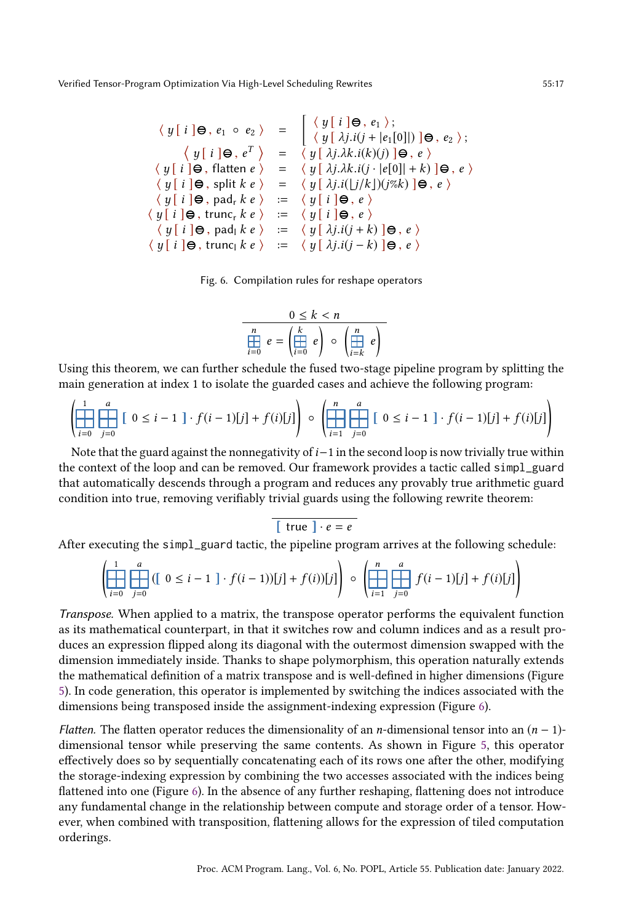<span id="page-16-0"></span>
$$
\langle y[i] \Theta, e_1 \circ e_2 \rangle = \begin{cases} \langle y[i] \Theta, e_1 \rangle; \\ \langle y[i] \Theta, e^T \rangle \end{cases} = \langle y[i] \lambda j.i(j + |e_1[0]|) \Theta, e_2 \rangle; \\ \langle y[i] \Theta, \text{flatten } e \rangle = \langle y[i] \lambda j.k.i(k)(j) \Theta, e \rangle \\ \langle y[i] \Theta, \text{ split } k e \rangle = \langle y[i] \lambda j.k.i(j \cdot |e[0]| + k) \Theta, e \rangle \\ \langle y[i] \Theta, \text{ split } k e \rangle = \langle y[i] \Theta, e \rangle \\ \langle y[i] \Theta, \text{ para } k e \rangle := \langle y[i] \Theta, e \rangle \\ \langle y[i] \Theta, \text{ trunc } k e \rangle = \langle y[i] \Theta, e \rangle \\ \langle y[i] \Theta, \text{para } k e \rangle := \langle y[i] \Theta, e \rangle \\ \langle y[i] \Theta, \text{ trunc } k e \rangle = \langle y[i] \lambda j.i(j + k) \Theta, e \rangle \\ \langle y[i] \Theta, \text{ trunc } k e \rangle = \langle y[i] \lambda j.i(j - k) \Theta, e \rangle \end{cases}
$$

Fig. 6. Compilation rules for reshape operators

$$
0 \leq k < n
$$
\n
$$
\frac{n}{\prod_{i=0}^{n} e} = \left(\frac{k}{\prod_{i=0}^{k} e}\right) \circ \left(\frac{n}{\prod_{i=k}^{n} e}\right)
$$

Using this theorem, we can further schedule the fused two-stage pipeline program by splitting the main generation at index 1 to isolate the guarded cases and achieve the following program:

$$
\left(\prod_{i=0}^{n} \prod_{j=0}^{a} [0 \leq i-1] \cdot f(i-1)[j] + f(i)[j] \right) \circ \left(\prod_{i=1}^{n} \prod_{j=0}^{a} [0 \leq i-1] \cdot f(i-1)[j] + f(i)[j] \right)
$$

Note that the guard against the nonnegativity of  $i-1$  in the second loop is now trivially true within the context of the loop and can be removed. Our framework provides a tactic called simpl\_guard that automatically descends through a program and reduces any provably true arithmetic guard condition into true, removing verifiably trivial guards using the following rewrite theorem:

$$
[true] \cdot e = e
$$

After executing the simpl\_guard tactic, the pipeline program arrives at the following schedule:

$$
\left(\prod_{i=0}^{n} \prod_{j=0}^{a} \left( \begin{array}{c} \left[ (i-1) \right] \cdots (i-1) \end{array} \right) [j] + f(i) \right) [j] \right) \circ \left(\prod_{i=1}^{n} \prod_{j=0}^{a} f(i-1)[j] + f(i)[j] \right)
$$

Transpose. When applied to a matrix, the transpose operator performs the equivalent function as its mathematical counterpart, in that it switches row and column indices and as a result produces an expression flipped along its diagonal with the outermost dimension swapped with the dimension immediately inside. Thanks to shape polymorphism, this operation naturally extends the mathematical definition of a matrix transpose and is well-defined in higher dimensions (Figure [5\)](#page-15-1). In code generation, this operator is implemented by switching the indices associated with the dimensions being transposed inside the assignment-indexing expression (Figure [6\)](#page-16-0).

*Flatten.* The flatten operator reduces the dimensionality of an *n*-dimensional tensor into an  $(n - 1)$ dimensional tensor while preserving the same contents. As shown in Figure [5,](#page-15-1) this operator effectively does so by sequentially concatenating each of its rows one after the other, modifying the storage-indexing expression by combining the two accesses associated with the indices being flattened into one (Figure [6\)](#page-16-0). In the absence of any further reshaping, flattening does not introduce any fundamental change in the relationship between compute and storage order of a tensor. However, when combined with transposition, flattening allows for the expression of tiled computation orderings.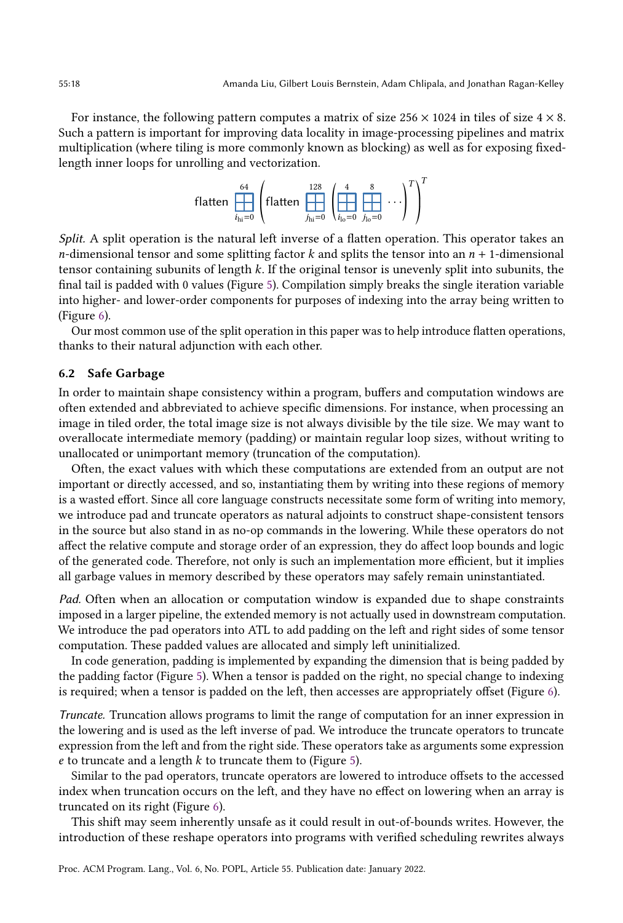For instance, the following pattern computes a matrix of size  $256 \times 1024$  in tiles of size  $4 \times 8$ . Such a pattern is important for improving data locality in image-processing pipelines and matrix multiplication (where tiling is more commonly known as blocking) as well as for exposing fixedlength inner loops for unrolling and vectorization.



Split. A split operation is the natural left inverse of a flatten operation. This operator takes an *n*-dimensional tensor and some splitting factor k and splits the tensor into an  $n + 1$ -dimensional tensor containing subunits of length k. If the original tensor is unevenly split into subunits, the final tail is padded with 0 values (Figure [5\)](#page-15-1). Compilation simply breaks the single iteration variable into higher- and lower-order components for purposes of indexing into the array being written to (Figure [6\)](#page-16-0).

Our most common use of the split operation in this paper was to help introduce flatten operations, thanks to their natural adjunction with each other.

## 6.2 Safe Garbage

In order to maintain shape consistency within a program, buffers and computation windows are often extended and abbreviated to achieve specific dimensions. For instance, when processing an image in tiled order, the total image size is not always divisible by the tile size. We may want to overallocate intermediate memory (padding) or maintain regular loop sizes, without writing to unallocated or unimportant memory (truncation of the computation).

Often, the exact values with which these computations are extended from an output are not important or directly accessed, and so, instantiating them by writing into these regions of memory is a wasted effort. Since all core language constructs necessitate some form of writing into memory, we introduce pad and truncate operators as natural adjoints to construct shape-consistent tensors in the source but also stand in as no-op commands in the lowering. While these operators do not affect the relative compute and storage order of an expression, they do affect loop bounds and logic of the generated code. Therefore, not only is such an implementation more efficient, but it implies all garbage values in memory described by these operators may safely remain uninstantiated.

Pad. Often when an allocation or computation window is expanded due to shape constraints imposed in a larger pipeline, the extended memory is not actually used in downstream computation. We introduce the pad operators into ATL to add padding on the left and right sides of some tensor computation. These padded values are allocated and simply left uninitialized.

In code generation, padding is implemented by expanding the dimension that is being padded by the padding factor (Figure [5\)](#page-15-1). When a tensor is padded on the right, no special change to indexing is required; when a tensor is padded on the left, then accesses are appropriately offset (Figure [6\)](#page-16-0).

Truncate. Truncation allows programs to limit the range of computation for an inner expression in the lowering and is used as the left inverse of pad. We introduce the truncate operators to truncate expression from the left and from the right side. These operators take as arguments some expression  $e$  to truncate and a length  $k$  to truncate them to (Figure [5\)](#page-15-1).

Similar to the pad operators, truncate operators are lowered to introduce offsets to the accessed index when truncation occurs on the left, and they have no effect on lowering when an array is truncated on its right (Figure [6\)](#page-16-0).

This shift may seem inherently unsafe as it could result in out-of-bounds writes. However, the introduction of these reshape operators into programs with verified scheduling rewrites always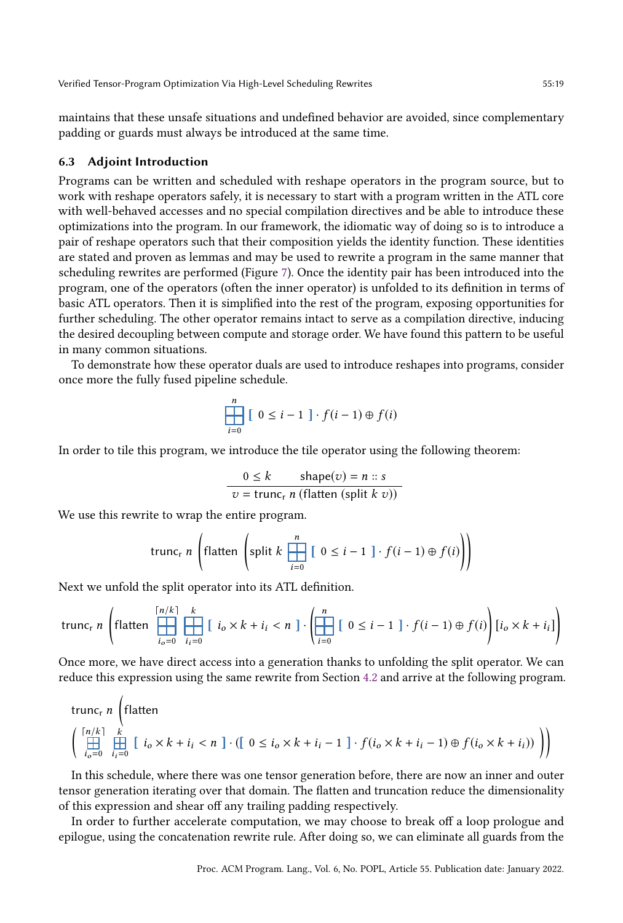maintains that these unsafe situations and undefined behavior are avoided, since complementary padding or guards must always be introduced at the same time.

## 6.3 Adjoint Introduction

Programs can be written and scheduled with reshape operators in the program source, but to work with reshape operators safely, it is necessary to start with a program written in the ATL core with well-behaved accesses and no special compilation directives and be able to introduce these optimizations into the program. In our framework, the idiomatic way of doing so is to introduce a pair of reshape operators such that their composition yields the identity function. These identities are stated and proven as lemmas and may be used to rewrite a program in the same manner that scheduling rewrites are performed (Figure [7\)](#page-19-1). Once the identity pair has been introduced into the program, one of the operators (often the inner operator) is unfolded to its definition in terms of basic ATL operators. Then it is simplified into the rest of the program, exposing opportunities for further scheduling. The other operator remains intact to serve as a compilation directive, inducing the desired decoupling between compute and storage order. We have found this pattern to be useful in many common situations.

To demonstrate how these operator duals are used to introduce reshapes into programs, consider once more the fully fused pipeline schedule.

$$
\prod_{i=0}^{n} [0 \leq i-1] \cdot f(i-1) \oplus f(i)
$$

In order to tile this program, we introduce the tile operator using the following theorem:

$$
0 \le k \qquad \text{shape}(v) = n :: s
$$
  

$$
v = \text{trunc}_{r} \ n \ (\text{flatten (split } k \ v))
$$

We use this rewrite to wrap the entire program.

trunc<sub>r</sub> 
$$
n
$$
  $\left( \text{flatten } \left( \text{split } k \prod_{i=0}^{n} [0 \leq i-1] \cdot f(i-1) \oplus f(i) \right) \right)$ 

Next we unfold the split operator into its ATL definition.

trunc<sub>r</sub> 
$$
n
$$
  $\left(\text{flatten } \prod_{i_0=0}^{\lceil n/k \rceil} \prod_{i_i=0}^{k} [i_0 \times k + i_i < n] \cdot \left(\prod_{i=0}^{n} [0 \leq i-1] \cdot f(i-1) \oplus f(i) \right) [i_0 \times k + i_i] \right)$ 

Once more, we have direct access into a generation thanks to unfolding the split operator. We can reduce this expression using the same rewrite from Section [4.2](#page-8-0) and arrive at the following program.

trunc<sub>r</sub> 
$$
n
$$
  $\left( \prod_{i_0=0}^{\lceil n/k \rceil} \left[ \prod_{i_0 \leq i_0 \leq k}^{k} \left[ i_0 \times k + i_i < n \right] \cdot \left( \left[ 0 \leq i_0 \times k + i_i - 1 \right] \right] \cdot f(i_0 \times k + i_i - 1) \oplus f(i_0 \times k + i_i) \right) \right)$ 

In this schedule, where there was one tensor generation before, there are now an inner and outer tensor generation iterating over that domain. The flatten and truncation reduce the dimensionality of this expression and shear off any trailing padding respectively.

In order to further accelerate computation, we may choose to break off a loop prologue and epilogue, using the concatenation rewrite rule. After doing so, we can eliminate all guards from the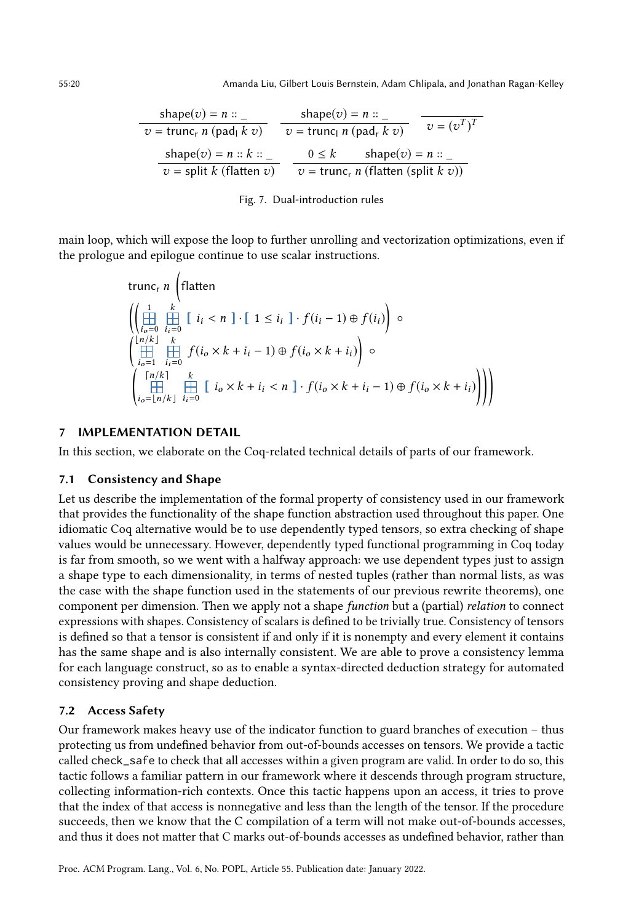<span id="page-19-1"></span>55:20 Amanda Liu, Gilbert Louis Bernstein, Adam Chlipala, and Jonathan Ragan-Kelley

shape(v) = n ::   
\nv = trunc<sub>r</sub> n (pad<sub>l</sub> k v)   
\n
$$
\frac{\text{shape}(v) = n ::}{v = \text{trunc}_{l} n (\text{pad}_{r} k v)} \quad \frac{\text{shape}(v) = n ::}{v = (v^{T})^{T}}
$$
\n
$$
\frac{\text{shape}(v) = n :: k ::}{v = \text{split } k (\text{flatten } v)} \quad \frac{0 \le k}{v = \text{trunc}_{r} n (\text{flatten (split } k v))}
$$

#### Fig. 7. Dual-introduction rules

main loop, which will expose the loop to further unrolling and vectorization optimizations, even if the prologue and epilogue continue to use scalar instructions.

trunc<sub>r</sub> 
$$
n
$$
  $\left( \prod_{i=0}^{n} \prod_{i=0}^{k} [i_i < n] \cdot [1 \leq i_i] \cdot f(i_i - 1) \oplus f(i_i) \right) \circ$   
\n $\left( \prod_{i_o=0}^{\lfloor n/k \rfloor} \prod_{i_i=0}^{k} f(i_o \times k + i_i - 1) \oplus f(i_o \times k + i_i) \right) \circ$   
\n $\left( \prod_{i_o=1}^{\lfloor n/k \rfloor} \prod_{i_i=0}^{k} [i_o \times k + i_i < n] \cdot f(i_o \times k + i_i - 1) \oplus f(i_o \times k + i_i) \right) \right)$ 

# 7 IMPLEMENTATION DETAIL

In this section, we elaborate on the Coq-related technical details of parts of our framework.

#### <span id="page-19-0"></span>7.1 Consistency and Shape

Let us describe the implementation of the formal property of consistency used in our framework that provides the functionality of the shape function abstraction used throughout this paper. One idiomatic Coq alternative would be to use dependently typed tensors, so extra checking of shape values would be unnecessary. However, dependently typed functional programming in Coq today is far from smooth, so we went with a halfway approach: we use dependent types just to assign a shape type to each dimensionality, in terms of nested tuples (rather than normal lists, as was the case with the shape function used in the statements of our previous rewrite theorems), one component per dimension. Then we apply not a shape function but a (partial) relation to connect expressions with shapes. Consistency of scalars is defined to be trivially true. Consistency of tensors is defined so that a tensor is consistent if and only if it is nonempty and every element it contains has the same shape and is also internally consistent. We are able to prove a consistency lemma for each language construct, so as to enable a syntax-directed deduction strategy for automated consistency proving and shape deduction.

## 7.2 Access Safety

Our framework makes heavy use of the indicator function to guard branches of execution - thus protecting us from undefined behavior from out-of-bounds accesses on tensors. We provide a tactic called check\_safe to check that all accesses within a given program are valid. In order to do so, this tactic follows a familiar pattern in our framework where it descends through program structure, collecting information-rich contexts. Once this tactic happens upon an access, it tries to prove that the index of that access is nonnegative and less than the length of the tensor. If the procedure succeeds, then we know that the C compilation of a term will not make out-of-bounds accesses, and thus it does not matter that C marks out-of-bounds accesses as undefined behavior, rather than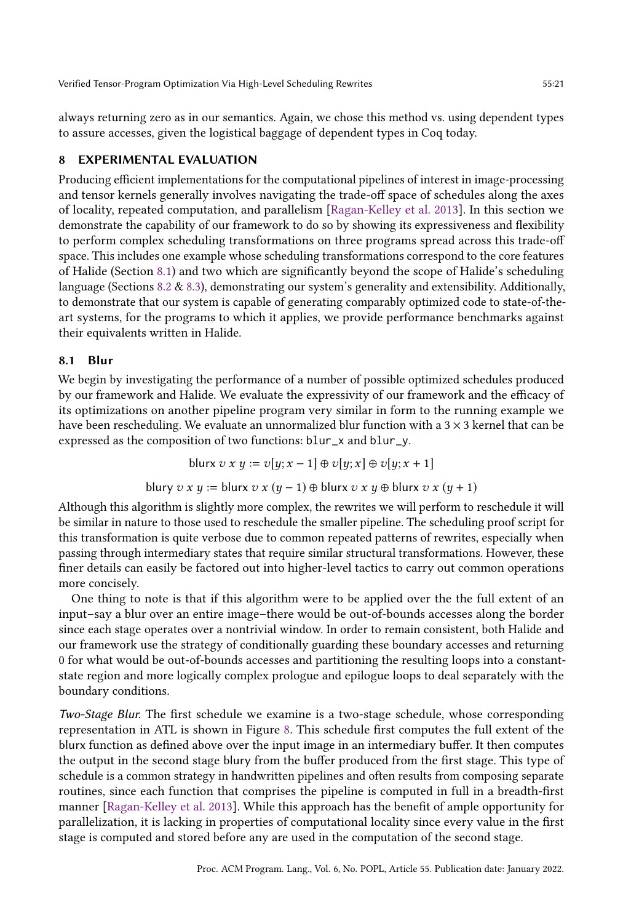always returning zero as in our semantics. Again, we chose this method vs. using dependent types to assure accesses, given the logistical baggage of dependent types in Coq today.

## 8 EXPERIMENTAL EVALUATION

Producing efficient implementations for the computational pipelines of interest in image-processing and tensor kernels generally involves navigating the trade-off space of schedules along the axes of locality, repeated computation, and parallelism [\[Ragan-Kelley et al.](#page-27-1) [2013\]](#page-27-1). In this section we demonstrate the capability of our framework to do so by showing its expressiveness and flexibility to perform complex scheduling transformations on three programs spread across this trade-off space. This includes one example whose scheduling transformations correspond to the core features of Halide (Section [8.1\)](#page-20-0) and two which are significantly beyond the scope of Halide's scheduling language (Sections [8.2](#page-21-0) & [8.3\)](#page-23-0), demonstrating our system's generality and extensibility. Additionally, to demonstrate that our system is capable of generating comparably optimized code to state-of-theart systems, for the programs to which it applies, we provide performance benchmarks against their equivalents written in Halide.

## <span id="page-20-0"></span>8.1 Blur

We begin by investigating the performance of a number of possible optimized schedules produced by our framework and Halide. We evaluate the expressivity of our framework and the efficacy of its optimizations on another pipeline program very similar in form to the running example we have been rescheduling. We evaluate an unnormalized blur function with a  $3 \times 3$  kernel that can be expressed as the composition of two functions: blur\_x and blur\_y.

blurx  $v x y := v[y; x - 1] \oplus v[y; x] \oplus v[y; x + 1]$ 

blury  $v x y :=$  blurx  $v x (y - 1) \oplus$  blurx  $v x y \oplus$  blurx  $v x (y + 1)$ 

Although this algorithm is slightly more complex, the rewrites we will perform to reschedule it will be similar in nature to those used to reschedule the smaller pipeline. The scheduling proof script for this transformation is quite verbose due to common repeated patterns of rewrites, especially when passing through intermediary states that require similar structural transformations. However, these finer details can easily be factored out into higher-level tactics to carry out common operations more concisely.

One thing to note is that if this algorithm were to be applied over the the full extent of an input-say a blur over an entire image-there would be out-of-bounds accesses along the border since each stage operates over a nontrivial window. In order to remain consistent, both Halide and our framework use the strategy of conditionally guarding these boundary accesses and returning 0 for what would be out-of-bounds accesses and partitioning the resulting loops into a constantstate region and more logically complex prologue and epilogue loops to deal separately with the boundary conditions.

Two-Stage Blur. The first schedule we examine is a two-stage schedule, whose corresponding representation in ATL is shown in Figure [8.](#page-21-1) This schedule first computes the full extent of the blurx function as defined above over the input image in an intermediary buffer. It then computes the output in the second stage blury from the buffer produced from the first stage. This type of schedule is a common strategy in handwritten pipelines and often results from composing separate routines, since each function that comprises the pipeline is computed in full in a breadth-first manner [\[Ragan-Kelley et al.](#page-27-1) [2013\]](#page-27-1). While this approach has the benefit of ample opportunity for parallelization, it is lacking in properties of computational locality since every value in the first stage is computed and stored before any are used in the computation of the second stage.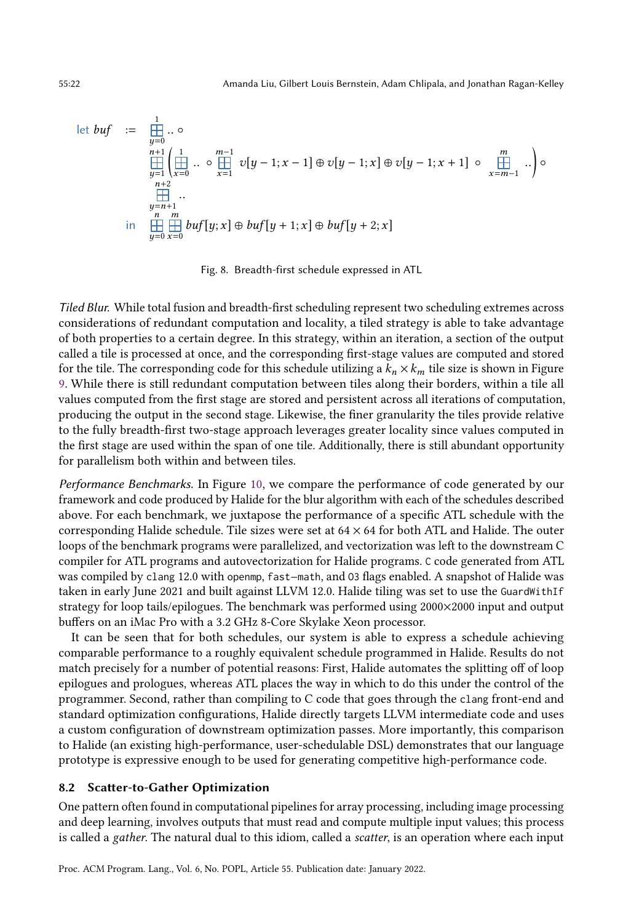let 
$$
buf := \prod_{y=0}^{1} ... \circ
$$
  
\n $\prod_{y=1}^{m+1} (\prod_{x=0}^{1} ... \circ \prod_{x=1}^{m-1} v[y-1; x-1] \oplus v[y-1; x] \oplus v[y-1; x+1] \circ \prod_{x=m-1}^{m} ...)$   
\n $\prod_{y=n+1}^{m+2} ...$   
\n $\prod_{y=0}^{m} \text{buf}[y; x] \oplus \text{buf}[y+1; x] \oplus \text{buf}[y+2; x]$ 

Fig. 8. Breadth-first schedule expressed in ATL

Tiled Blur. While total fusion and breadth-first scheduling represent two scheduling extremes across considerations of redundant computation and locality, a tiled strategy is able to take advantage of both properties to a certain degree. In this strategy, within an iteration, a section of the output called a tile is processed at once, and the corresponding first-stage values are computed and stored for the tile. The corresponding code for this schedule utilizing a  $k_n \times k_m$  tile size is shown in Figure [9.](#page-22-0) While there is still redundant computation between tiles along their borders, within a tile all values computed from the first stage are stored and persistent across all iterations of computation, producing the output in the second stage. Likewise, the finer granularity the tiles provide relative to the fully breadth-first two-stage approach leverages greater locality since values computed in the first stage are used within the span of one tile. Additionally, there is still abundant opportunity for parallelism both within and between tiles.

Performance Benchmarks. In Figure [10,](#page-22-1) we compare the performance of code generated by our framework and code produced by Halide for the blur algorithm with each of the schedules described above. For each benchmark, we juxtapose the performance of a specific ATL schedule with the corresponding Halide schedule. Tile sizes were set at  $64 \times 64$  for both ATL and Halide. The outer loops of the benchmark programs were parallelized, and vectorization was left to the downstream C compiler for ATL programs and autovectorization for Halide programs. C code generated from ATL was compiled by clang 12.0 with openmp, fast−math, and O3 flags enabled. A snapshot of Halide was taken in early June 2021 and built against LLVM 12.0. Halide tiling was set to use the GuardWithIf strategy for loop tails/epilogues. The benchmark was performed using 2000×2000 input and output buffers on an iMac Pro with a 3.2 GHz 8-Core Skylake Xeon processor.

It can be seen that for both schedules, our system is able to express a schedule achieving comparable performance to a roughly equivalent schedule programmed in Halide. Results do not match precisely for a number of potential reasons: First, Halide automates the splitting off of loop epilogues and prologues, whereas ATL places the way in which to do this under the control of the programmer. Second, rather than compiling to C code that goes through the clang front-end and standard optimization configurations, Halide directly targets LLVM intermediate code and uses a custom configuration of downstream optimization passes. More importantly, this comparison to Halide (an existing high-performance, user-schedulable DSL) demonstrates that our language prototype is expressive enough to be used for generating competitive high-performance code.

#### <span id="page-21-0"></span>8.2 Scatter-to-Gather Optimization

One pattern often found in computational pipelines for array processing, including image processing and deep learning, involves outputs that must read and compute multiple input values; this process is called a gather. The natural dual to this idiom, called a scatter, is an operation where each input

<span id="page-21-1"></span>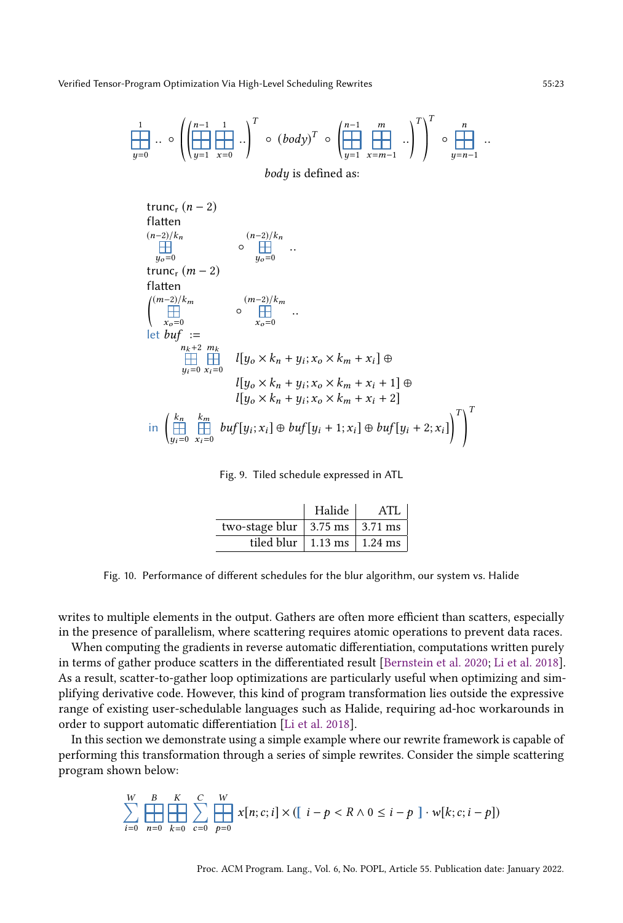<span id="page-22-0"></span>
$$
\frac{1}{y=0} \ldots \circ \left( \left( \frac{n-1}{y-1} \frac{1}{x=0} \ldots \right)^T \circ (body)^T \circ \left( \frac{n-1}{y-1} \frac{m}{x=m-1} \ldots \right)^T \right)^T \circ \prod_{y=n-1}^n \ldots
$$
\n*body is defined as:*

trunc<sub>r</sub>  $(n - 2)$ flatten  $(n−2)/k_n$  $\prod_{y_o=0}$  $\circ \bigoplus^{(n-2)/k_n}$  $\overline{\bigoplus}_{y_o=0}$  ... trunc<sub>r</sub>  $(m - 2)$ flatten  $((m-2)/k_m)$  $\prod_{x_o=0}$  $\circ \bigoplus^{(m-2)/k_m}$  $\begin{array}{ccc}\n\bigoplus\limits_{x_o=0} & \dots\end{array}$ let  $buf :=$  $n_k+2$  $y_i=0$  $m<sub>k</sub>$  $\prod_{x_i=0}^{m_k} l[y_o \times k_n + y_i; x_o \times k_m + x_i] \oplus$  $l[y_0 \times k_n + y_i; x_0 \times k_m + x_i + 1] \oplus$  $l[y_0 \times k_n + y_i; x_0 \times k_m + x_i + 2]$ in  $\left(\frac{k_n}{k}\right)$  $y_i=0$ km  $\overline{\lim}_{x_i=0}$  buf  $[y_i; x_i] \oplus \textit{buf}[y_i + 1; x_i] \oplus \textit{buf}[y_i + 2; x_i]$  $\bigcap^T$ 

Fig. 9. Tiled schedule expressed in ATL

|                                    | Halide            | ATL |
|------------------------------------|-------------------|-----|
| two-stage blur   3.75 ms   3.71 ms |                   |     |
| tiled blur                         | 1.13 ms   1.24 ms |     |

<span id="page-22-1"></span>Fig. 10. Performance of different schedules for the blur algorithm, our system vs. Halide

writes to multiple elements in the output. Gathers are often more efficient than scatters, especially in the presence of parallelism, where scattering requires atomic operations to prevent data races.

When computing the gradients in reverse automatic differentiation, computations written purely in terms of gather produce scatters in the differentiated result [\[Bernstein et al.](#page-26-3) [2020;](#page-26-3) [Li et al.](#page-26-5) [2018\]](#page-26-5). As a result, scatter-to-gather loop optimizations are particularly useful when optimizing and simplifying derivative code. However, this kind of program transformation lies outside the expressive range of existing user-schedulable languages such as Halide, requiring ad-hoc workarounds in order to support automatic differentiation [\[Li et al. 2018\]](#page-26-5).

In this section we demonstrate using a simple example where our rewrite framework is capable of performing this transformation through a series of simple rewrites. Consider the simple scattering program shown below:

$$
\sum_{i=0}^{W} \prod_{n=0}^{B} \prod_{k=0}^{K} \sum_{c=0}^{C} \prod_{p=0}^{W} x[n;c;i] \times (\left[i-p < R \land 0 \leq i-p\right] \cdot w[k;c;i-p])
$$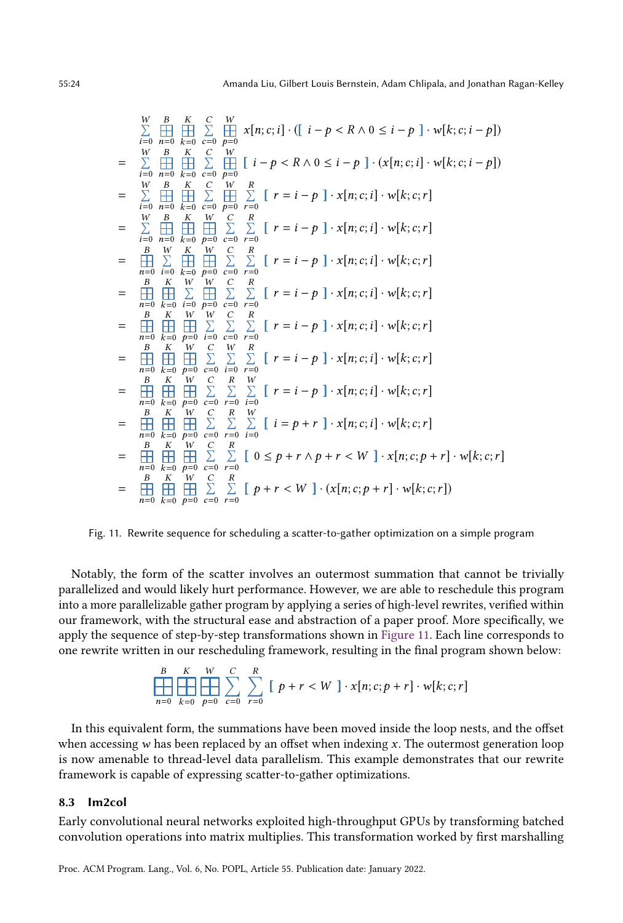<span id="page-23-1"></span>
$$
\sum_{i=0}^{W} \prod_{n=0}^{B} \prod_{k=0}^{K} \sum_{c=0}^{C} \prod_{p=0}^{C} x[n;c;i] \cdot ([i-p < R \land 0 \leq i-p] \cdot w[k;c;i-p])
$$
\n
$$
= \sum_{i=0}^{W} \prod_{n=0}^{B} \prod_{k=0}^{K} \sum_{c=0}^{C} \prod_{p=0}^{C} [i-p < R \land 0 \leq i-p] \cdot (x[n;c;i] \cdot w[k;c;i-p])
$$
\n
$$
= \sum_{i=0}^{W} \prod_{n=0}^{B} \prod_{k=0}^{C} \sum_{c=0}^{C} \prod_{p=0}^{C} \sum_{r=0}^{C} [r = i-p] \cdot x[n;c;i] \cdot w[k;c;r]
$$
\n
$$
= \sum_{i=0}^{W} \prod_{p=0}^{B} \prod_{k=0}^{C} \sum_{c=0}^{C} \sum_{r=0}^{C} [r = i-p] \cdot x[n;c;i] \cdot w[k;c;r]
$$
\n
$$
= \prod_{n=0}^{B} \prod_{k=0}^{W} \sum_{r=0}^{C} \sum_{p=0}^{C} \sum_{c=0}^{C} [r = i-p] \cdot x[n;c;i] \cdot w[k;c;r]
$$
\n
$$
= \prod_{n=0}^{B} \prod_{k=0}^{C} \sum_{p=0}^{C} \sum_{c=0}^{C} [r = i-p] \cdot x[n;c;i] \cdot w[k;c;r]
$$
\n
$$
= \prod_{n=0}^{B} \prod_{k=0}^{C} \sum_{p=0}^{C} \sum_{c=0}^{C} [r = i-p] \cdot x[n;c;i] \cdot w[k;c;r]
$$
\n
$$
= \prod_{n=0}^{B} \prod_{k=0}^{C} \prod_{p=0}^{C} \sum_{c=0}^{C} \sum_{r=0}^{C} [r = i-p] \cdot x[n;c;i] \cdot w[k;c;r]
$$
\n
$$
= \prod_{n=0}^{B} \prod_{k=0}^{C} \prod_{p=0}^{C} \sum_{c=0}^{C} \sum_{r=0}^{C} [r = i-p] \cdot x[n;c;i] \cdot w[k;c;r]
$$
\n
$$
= \prod_{n=0}^{B} \prod_{k=0}^{C} \prod_{p=0}
$$

Fig. 11. Rewrite sequence for scheduling a scatter-to-gather optimization on a simple program

Notably, the form of the scatter involves an outermost summation that cannot be trivially parallelized and would likely hurt performance. However, we are able to reschedule this program into a more parallelizable gather program by applying a series of high-level rewrites, verified within our framework, with the structural ease and abstraction of a paper proof. More specifically, we apply the sequence of step-by-step transformations shown in [Figure 11.](#page-23-1) Each line corresponds to one rewrite written in our rescheduling framework, resulting in the final program shown below:

$$
\frac{B}{n=0} \prod_{k=0}^{K} \prod_{p=0}^{W} \sum_{c=0}^{C} \sum_{r=0}^{R} [p+r < W] \cdot x[n;c;p+r] \cdot w[k;c;r]
$$

In this equivalent form, the summations have been moved inside the loop nests, and the offset when accessing  $w$  has been replaced by an offset when indexing  $x$ . The outermost generation loop is now amenable to thread-level data parallelism. This example demonstrates that our rewrite framework is capable of expressing scatter-to-gather optimizations.

#### <span id="page-23-0"></span>8.3 Im2col

Early convolutional neural networks exploited high-throughput GPUs by transforming batched convolution operations into matrix multiplies. This transformation worked by first marshalling

Proc. ACM Program. Lang., Vol. 6, No. POPL, Article 55. Publication date: January 2022.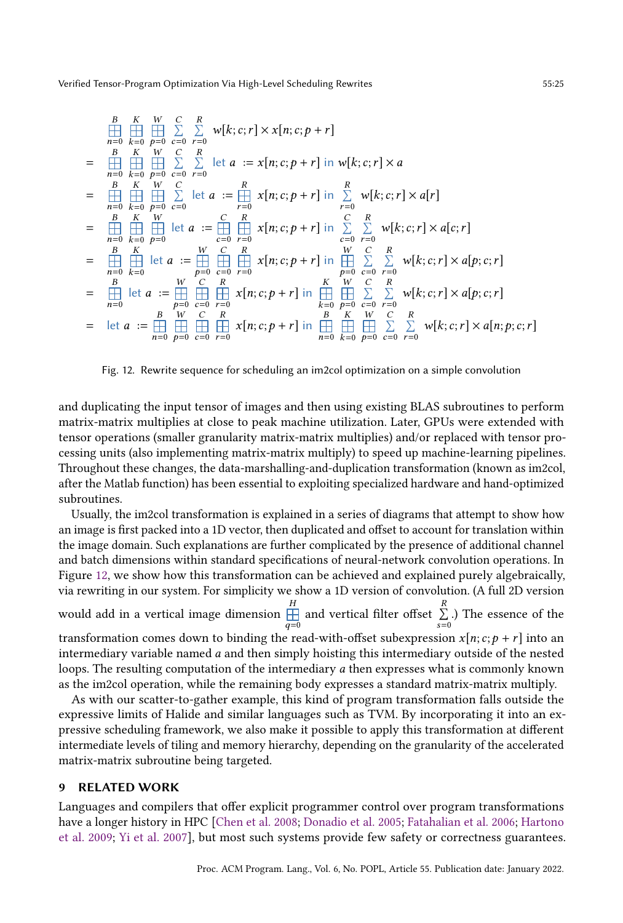<span id="page-24-0"></span>
$$
\frac{B}{n=0} \quad \frac{K}{k=0} \quad \frac{W}{p=0} \quad \frac{C}{c=0} \quad \frac{R}{r=0} \quad w[k;c;r] \times x[n;c;p+r]
$$
\n
$$
= \quad \frac{B}{m=0} \quad \frac{K}{k=0} \quad \frac{W}{p=0} \quad \frac{C}{c=0} \quad \frac{R}{r=0}
$$
\n
$$
= \quad \frac{B}{m=0} \quad \frac{K}{k=0} \quad \frac{W}{p=0} \quad \frac{C}{c=0} \quad \frac{R}{r=0}
$$
\n
$$
= \quad \frac{B}{m=0} \quad \frac{K}{k=0} \quad \frac{W}{p=0} \quad \frac{C}{c=0}
$$
\n
$$
= \quad \frac{B}{m=0} \quad \frac{K}{k=0} \quad \frac{W}{p=0} \quad \frac{C}{c=0}
$$
\n
$$
= \quad \frac{B}{m=0} \quad \frac{W}{k=0} \quad \frac{W}{p=0} \quad \frac{C}{r=0} \quad \frac{R}{k=0} \quad x[n;c;p+r] \quad \text{in} \quad \frac{C}{c=0} \quad \frac{R}{r=0} \quad w[k;c;r] \times a[c;r]
$$
\n
$$
= \quad \frac{B}{m=0} \quad \frac{K}{k=0} \quad \frac{W}{p=0} \quad \frac{C}{c=0} \quad \frac{R}{r=0}
$$
\n
$$
= \quad \frac{W}{m=0} \quad \frac{C}{k=0} \quad \frac{R}{p=0} \quad \frac{W}{c=0} \quad \frac{C}{r=0} \quad \frac{R}{r=0} \quad \frac{W}{p=0} \quad \frac{C}{c=0} \quad \frac{R}{r=0}
$$
\n
$$
= \quad \frac{B}{m=0} \quad \text{let } a := \frac{W}{p=0} \quad \frac{C}{c=0} \quad \frac{R}{r=0} \quad x[n;c;p+r] \quad \text{in} \quad \frac{K}{p=0} \quad \frac{W}{c=0} \quad \frac{C}{r=0}
$$
\n
$$
= \quad \text{let } a := \frac{B}{p=0} \quad \frac{W}{c=0} \quad \frac{R}{r=0} \quad x[n;c;p
$$

Fig. 12. Rewrite sequence for scheduling an im2col optimization on a simple convolution

and duplicating the input tensor of images and then using existing BLAS subroutines to perform matrix-matrix multiplies at close to peak machine utilization. Later, GPUs were extended with tensor operations (smaller granularity matrix-matrix multiplies) and/or replaced with tensor processing units (also implementing matrix-matrix multiply) to speed up machine-learning pipelines. Throughout these changes, the data-marshalling-and-duplication transformation (known as im2col, after the Matlab function) has been essential to exploiting specialized hardware and hand-optimized subroutines.

Usually, the im2col transformation is explained in a series of diagrams that attempt to show how an image is first packed into a 1D vector, then duplicated and offset to account for translation within the image domain. Such explanations are further complicated by the presence of additional channel and batch dimensions within standard specifications of neural-network convolution operations. In Figure [12,](#page-24-0) we show how this transformation can be achieved and explained purely algebraically, via rewriting in our system. For simplicity we show a 1D version of convolution. (A full 2D version would add in a vertical image dimension  $\frac{H}{\Box}$  $\frac{H}{q=0}$  and vertical filter offset  $\sum_{s=0}^{R}$  $\sum_{s=0}$ .) The essence of the transformation comes down to binding the read-with-offset subexpression  $x[n;c;p + r]$  into an intermediary variable named  $a$  and then simply hoisting this intermediary outside of the nested loops. The resulting computation of the intermediary a then expresses what is commonly known as the im2col operation, while the remaining body expresses a standard matrix-matrix multiply.

As with our scatter-to-gather example, this kind of program transformation falls outside the expressive limits of Halide and similar languages such as TVM. By incorporating it into an expressive scheduling framework, we also make it possible to apply this transformation at different intermediate levels of tiling and memory hierarchy, depending on the granularity of the accelerated matrix-matrix subroutine being targeted.

## 9 RELATED WORK

Languages and compilers that offer explicit programmer control over program transformations have a longer history in HPC [\[Chen et al.](#page-26-6) [2008;](#page-26-6) [Donadio et al.](#page-26-7) [2005;](#page-26-7) [Fatahalian et al.](#page-26-8) [2006;](#page-26-8) [Hartono](#page-26-9) [et al.](#page-26-9) [2009;](#page-26-9) [Yi et al.](#page-27-4) [2007\]](#page-27-4), but most such systems provide few safety or correctness guarantees.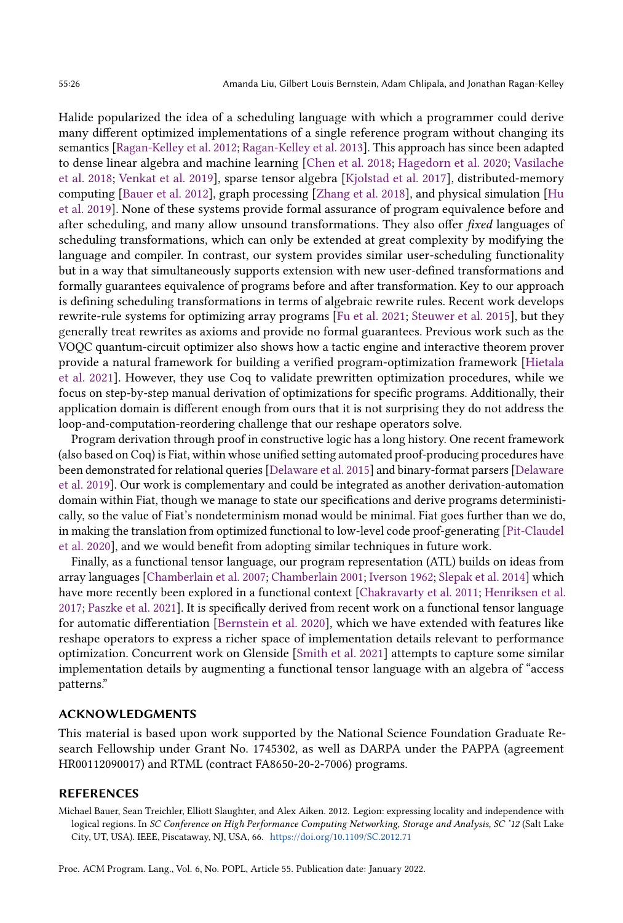Halide popularized the idea of a scheduling language with which a programmer could derive many different optimized implementations of a single reference program without changing its semantics [\[Ragan-Kelley et al.](#page-27-5) [2012;](#page-27-5) [Ragan-Kelley et al.](#page-27-1) [2013\]](#page-27-1). This approach has since been adapted to dense linear algebra and machine learning [\[Chen et al.](#page-26-0) [2018;](#page-26-0) [Hagedorn et al.](#page-26-10) [2020;](#page-26-10) [Vasilache](#page-27-6) [et al.](#page-27-6) [2018;](#page-27-6) [Venkat et al.](#page-27-7) [2019\]](#page-27-7), sparse tensor algebra [\[Kjolstad et al.](#page-26-11) [2017\]](#page-26-11), distributed-memory computing [\[Bauer et al.](#page-25-0) [2012\]](#page-25-0), graph processing [\[Zhang et al.](#page-27-8) [2018\]](#page-27-8), and physical simulation [\[Hu](#page-26-12) [et al.](#page-26-12) [2019\]](#page-26-12). None of these systems provide formal assurance of program equivalence before and after scheduling, and many allow unsound transformations. They also offer fixed languages of scheduling transformations, which can only be extended at great complexity by modifying the language and compiler. In contrast, our system provides similar user-scheduling functionality but in a way that simultaneously supports extension with new user-defined transformations and formally guarantees equivalence of programs before and after transformation. Key to our approach is defining scheduling transformations in terms of algebraic rewrite rules. Recent work develops rewrite-rule systems for optimizing array programs [\[Fu et al.](#page-26-1) [2021;](#page-26-1) [Steuwer et al.](#page-27-3) [2015\]](#page-27-3), but they generally treat rewrites as axioms and provide no formal guarantees. Previous work such as the VOQC quantum-circuit optimizer also shows how a tactic engine and interactive theorem prover provide a natural framework for building a verified program-optimization framework [\[Hietala](#page-26-13) [et al.](#page-26-13) [2021\]](#page-26-13). However, they use Coq to validate prewritten optimization procedures, while we focus on step-by-step manual derivation of optimizations for specific programs. Additionally, their application domain is different enough from ours that it is not surprising they do not address the loop-and-computation-reordering challenge that our reshape operators solve.

Program derivation through proof in constructive logic has a long history. One recent framework (also based on Coq) is Fiat, within whose unified setting automated proof-producing procedures have been demonstrated for relational queries [\[Delaware et al.](#page-26-14) [2015\]](#page-26-14) and binary-format parsers [\[Delaware](#page-26-15) [et al.](#page-26-15) [2019\]](#page-26-15). Our work is complementary and could be integrated as another derivation-automation domain within Fiat, though we manage to state our specifications and derive programs deterministically, so the value of Fiat's nondeterminism monad would be minimal. Fiat goes further than we do, in making the translation from optimized functional to low-level code proof-generating [\[Pit-Claudel](#page-27-9) [et al. 2020\]](#page-27-9), and we would benefit from adopting similar techniques in future work.

Finally, as a functional tensor language, our program representation (ATL) builds on ideas from array languages [\[Chamberlain et al.](#page-26-16) [2007;](#page-26-16) [Chamberlain 2001;](#page-26-17) [Iverson 1962;](#page-26-18) [Slepak et al.](#page-27-10) [2014\]](#page-27-10) which have more recently been explored in a functional context [\[Chakravarty et al.](#page-26-19) [2011;](#page-26-19) [Henriksen et al.](#page-26-20) [2017;](#page-26-20) [Paszke et al.](#page-27-11) [2021\]](#page-27-11). It is specifically derived from recent work on a functional tensor language for automatic differentiation [\[Bernstein et al.](#page-26-3) [2020\]](#page-26-3), which we have extended with features like reshape operators to express a richer space of implementation details relevant to performance optimization. Concurrent work on Glenside [\[Smith et al.](#page-27-2) [2021\]](#page-27-2) attempts to capture some similar implementation details by augmenting a functional tensor language with an algebra of "access" patterns."

## ACKNOWLEDGMENTS

This material is based upon work supported by the National Science Foundation Graduate Research Fellowship under Grant No. 1745302, as well as DARPA under the PAPPA (agreement HR00112090017) and RTML (contract FA8650-20-2-7006) programs.

#### REFERENCES

<span id="page-25-0"></span>Michael Bauer, Sean Treichler, Elliott Slaughter, and Alex Aiken. 2012. Legion: expressing locality and independence with logical regions. In SC Conference on High Performance Computing Networking, Storage and Analysis, SC '12 (Salt Lake City, UT, USA). IEEE, Piscataway, NJ, USA, 66. <https://doi.org/10.1109/SC.2012.71>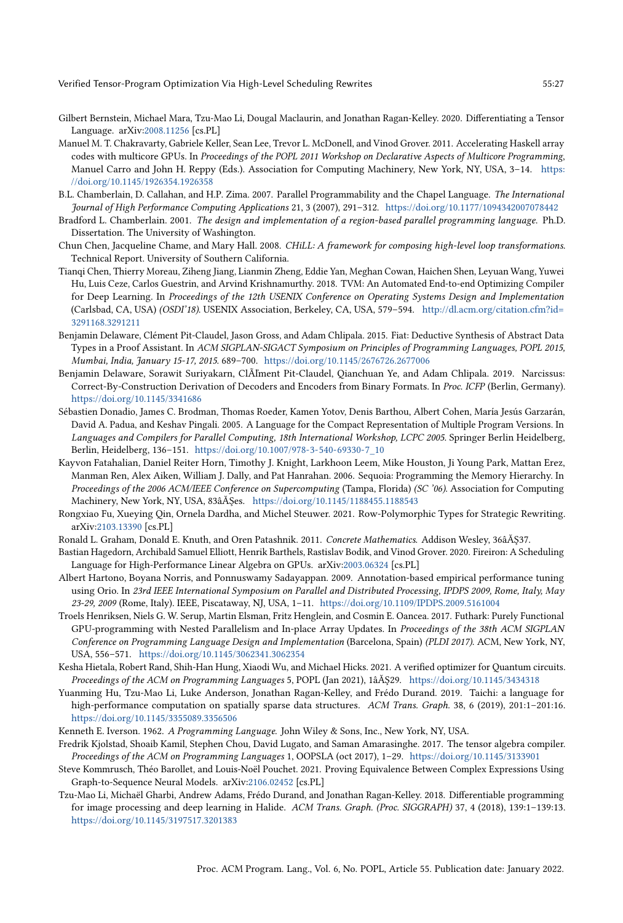- <span id="page-26-3"></span>Gilbert Bernstein, Michael Mara, Tzu-Mao Li, Dougal Maclaurin, and Jonathan Ragan-Kelley. 2020. Differentiating a Tensor Language. arXiv[:2008.11256](https://arxiv.org/abs/2008.11256) [cs.PL]
- <span id="page-26-19"></span>Manuel M. T. Chakravarty, Gabriele Keller, Sean Lee, Trevor L. McDonell, and Vinod Grover. 2011. Accelerating Haskell array codes with multicore GPUs. In Proceedings of the POPL 2011 Workshop on Declarative Aspects of Multicore Programming, Manuel Carro and John H. Reppy (Eds.). Association for Computing Machinery, New York, NY, USA, 3-14. [https:](https://doi.org/10.1145/1926354.1926358) [//doi.org/10.1145/1926354.1926358](https://doi.org/10.1145/1926354.1926358)
- <span id="page-26-16"></span>B.L. Chamberlain, D. Callahan, and H.P. Zima. 2007. Parallel Programmability and the Chapel Language. The International Journal of High Performance Computing Applications 21, 3 (2007), 291-312. <https://doi.org/10.1177/1094342007078442>
- <span id="page-26-17"></span>Bradford L. Chamberlain. 2001. The design and implementation of a region-based parallel programming language. Ph.D. Dissertation. The University of Washington.
- <span id="page-26-6"></span>Chun Chen, Jacqueline Chame, and Mary Hall. 2008. CHiLL: A framework for composing high-level loop transformations. Technical Report. University of Southern California.
- <span id="page-26-0"></span>Tianqi Chen, Thierry Moreau, Ziheng Jiang, Lianmin Zheng, Eddie Yan, Meghan Cowan, Haichen Shen, Leyuan Wang, Yuwei Hu, Luis Ceze, Carlos Guestrin, and Arvind Krishnamurthy. 2018. TVM: An Automated End-to-end Optimizing Compiler for Deep Learning. In Proceedings of the 12th USENIX Conference on Operating Systems Design and Implementation (Carlsbad, CA, USA) (OSDI'18). USENIX Association, Berkeley, CA, USA, 579-594. [http://dl.acm.org/citation.cfm?id=](http://dl.acm.org/citation.cfm?id=3291168.3291211) [3291168.3291211](http://dl.acm.org/citation.cfm?id=3291168.3291211)
- <span id="page-26-14"></span>Benjamin Delaware, Clément Pit-Claudel, Jason Gross, and Adam Chlipala. 2015. Fiat: Deductive Synthesis of Abstract Data Types in a Proof Assistant. In ACM SIGPLAN-SIGACT Symposium on Principles of Programming Languages, POPL 2015, Mumbai, India, January 15-17, 2015. 689-700. <https://doi.org/10.1145/2676726.2677006>
- <span id="page-26-15"></span>Benjamin Delaware, Sorawit Suriyakarn, ClÃľment Pit-Claudel, Qianchuan Ye, and Adam Chlipala. 2019. Narcissus: Correct-By-Construction Derivation of Decoders and Encoders from Binary Formats. In Proc. ICFP (Berlin, Germany). <https://doi.org/10.1145/3341686>
- <span id="page-26-7"></span>Sébastien Donadio, James C. Brodman, Thomas Roeder, Kamen Yotov, Denis Barthou, Albert Cohen, María Jesús Garzarán, David A. Padua, and Keshav Pingali. 2005. A Language for the Compact Representation of Multiple Program Versions. In Languages and Compilers for Parallel Computing, 18th International Workshop, LCPC 2005. Springer Berlin Heidelberg, Berlin, Heidelberg, 136-151. [https://doi.org/10.1007/978-3-540-69330-7\\_10](https://doi.org/10.1007/978-3-540-69330-7_10)
- <span id="page-26-8"></span>Kayvon Fatahalian, Daniel Reiter Horn, Timothy J. Knight, Larkhoon Leem, Mike Houston, Ji Young Park, Mattan Erez, Manman Ren, Alex Aiken, William J. Dally, and Pat Hanrahan. 2006. Sequoia: Programming the Memory Hierarchy. In Proceedings of the 2006 ACM/IEEE Conference on Supercomputing (Tampa, Florida) (SC '06). Association for Computing Machinery, New York, NY, USA, 83âĂŞes. <https://doi.org/10.1145/1188455.1188543>
- <span id="page-26-1"></span>Rongxiao Fu, Xueying Qin, Ornela Dardha, and Michel Steuwer. 2021. Row-Polymorphic Types for Strategic Rewriting. arXiv[:2103.13390](https://arxiv.org/abs/2103.13390) [cs.PL]
- <span id="page-26-4"></span>Ronald L. Graham, Donald E. Knuth, and Oren Patashnik. 2011. Concrete Mathematics. Addison Wesley, 36âĂŞ37.
- <span id="page-26-10"></span>Bastian Hagedorn, Archibald Samuel Elliott, Henrik Barthels, Rastislav Bodik, and Vinod Grover. 2020. Fireiron: A Scheduling Language for High-Performance Linear Algebra on GPUs. arXiv[:2003.06324](https://arxiv.org/abs/2003.06324) [cs.PL]
- <span id="page-26-9"></span>Albert Hartono, Boyana Norris, and Ponnuswamy Sadayappan. 2009. Annotation-based empirical performance tuning using Orio. In 23rd IEEE International Symposium on Parallel and Distributed Processing, IPDPS 2009, Rome, Italy, May 23-29, 2009 (Rome, Italy). IEEE, Piscataway, NJ, USA, 1-11. <https://doi.org/10.1109/IPDPS.2009.5161004>
- <span id="page-26-20"></span>Troels Henriksen, Niels G. W. Serup, Martin Elsman, Fritz Henglein, and Cosmin E. Oancea. 2017. Futhark: Purely Functional GPU-programming with Nested Parallelism and In-place Array Updates. In Proceedings of the 38th ACM SIGPLAN Conference on Programming Language Design and Implementation (Barcelona, Spain) (PLDI 2017). ACM, New York, NY, USA, 556-571. <https://doi.org/10.1145/3062341.3062354>
- <span id="page-26-13"></span>Kesha Hietala, Robert Rand, Shih-Han Hung, Xiaodi Wu, and Michael Hicks. 2021. A verified optimizer for Quantum circuits. Proceedings of the ACM on Programming Languages 5, POPL (Jan 2021), 1âĂŞ29. <https://doi.org/10.1145/3434318>
- <span id="page-26-12"></span>Yuanming Hu, Tzu-Mao Li, Luke Anderson, Jonathan Ragan-Kelley, and Frédo Durand. 2019. Taichi: a language for high-performance computation on spatially sparse data structures. ACM Trans. Graph. 38, 6 (2019), 201:1-201:16. <https://doi.org/10.1145/3355089.3356506>
- <span id="page-26-18"></span>Kenneth E. Iverson. 1962. A Programming Language. John Wiley & Sons, Inc., New York, NY, USA.
- <span id="page-26-11"></span>Fredrik Kjolstad, Shoaib Kamil, Stephen Chou, David Lugato, and Saman Amarasinghe. 2017. The tensor algebra compiler. Proceedings of the ACM on Programming Languages 1, OOPSLA (oct 2017), 1-29. <https://doi.org/10.1145/3133901>
- <span id="page-26-2"></span>Steve Kommrusch, Théo Barollet, and Louis-Noël Pouchet. 2021. Proving Equivalence Between Complex Expressions Using Graph-to-Sequence Neural Models. arXiv[:2106.02452](https://arxiv.org/abs/2106.02452) [cs.PL]
- <span id="page-26-5"></span>Tzu-Mao Li, Michaël Gharbi, Andrew Adams, Frédo Durand, and Jonathan Ragan-Kelley. 2018. Differentiable programming for image processing and deep learning in Halide. ACM Trans. Graph. (Proc. SIGGRAPH) 37, 4 (2018), 139:1-139:13. <https://doi.org/10.1145/3197517.3201383>